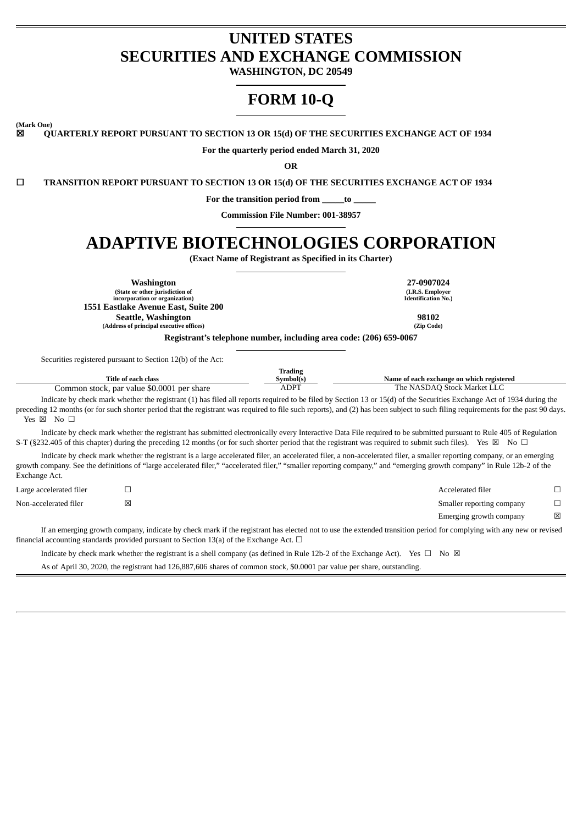# **UNITED STATES SECURITIES AND EXCHANGE COMMISSION**

**WASHINGTON, DC 20549**

# **FORM 10-Q**

**(Mark One)**

☒ **QUARTERLY REPORT PURSUANT TO SECTION 13 OR 15(d) OF THE SECURITIES EXCHANGE ACT OF 1934**

**For the quarterly period ended March 31, 2020**

**OR**

☐ **TRANSITION REPORT PURSUANT TO SECTION 13 OR 15(d) OF THE SECURITIES EXCHANGE ACT OF 1934**

**For the transition period from \_\_\_\_\_to \_\_\_\_\_**

**Commission File Number: 001-38957**

# **ADAPTIVE BIOTECHNOLOGIES CORPORATION**

**(Exact Name of Registrant as Specified in its Charter)**

**Washington 27-0907024 (State or other jurisdiction of incorporation or organization) 1551 Eastlake Avenue East, Suite 200 Seattle, Washington 98102 (Address of principal executive offices) (Zip Code)**

**(I.R.S. Employer Identification No.)**

**Registrant's telephone number, including area code: (206) 659-0067**

Securities registered pursuant to Section 12(b) of the Act:

|                                            | Trading   |                                           |
|--------------------------------------------|-----------|-------------------------------------------|
| Title of each class                        | Svmbol(s` | Name of each exchange on which registered |
| Common stock, par value \$0.0001 per share | ADPT      | The NASDAO Stock Market LLC               |

Indicate by check mark whether the registrant (1) has filed all reports required to be filed by Section 13 or 15(d) of the Securities Exchange Act of 1934 during the preceding 12 months (or for such shorter period that the registrant was required to file such reports), and (2) has been subject to such filing requirements for the past 90 days. Yes  $\boxtimes$  No  $\Box$ 

Indicate by check mark whether the registrant has submitted electronically every Interactive Data File required to be submitted pursuant to Rule 405 of Regulation S-T (§232.405 of this chapter) during the preceding 12 months (or for such shorter period that the registrant was required to submit such files). Yes  $\boxtimes$  No  $\Box$ 

Indicate by check mark whether the registrant is a large accelerated filer, an accelerated filer, a non-accelerated filer, a smaller reporting company, or an emerging growth company. See the definitions of "large accelerated filer," "accelerated filer," "smaller reporting company," and "emerging growth company" in Rule 12b-2 of the Exchange Act.

| Large accelerated filer | Accelerated filer         |   |
|-------------------------|---------------------------|---|
| Non-accelerated filer   | Smaller reporting company |   |
|                         | Emerging growth company   | ⊠ |

If an emerging growth company, indicate by check mark if the registrant has elected not to use the extended transition period for complying with any new or revised financial accounting standards provided pursuant to Section 13(a) of the Exchange Act.  $\Box$ 

Indicate by check mark whether the registrant is a shell company (as defined in Rule 12b-2 of the Exchange Act). Yes  $\Box$  No  $\boxtimes$ 

As of April 30, 2020, the registrant had 126,887,606 shares of common stock, \$0.0001 par value per share, outstanding.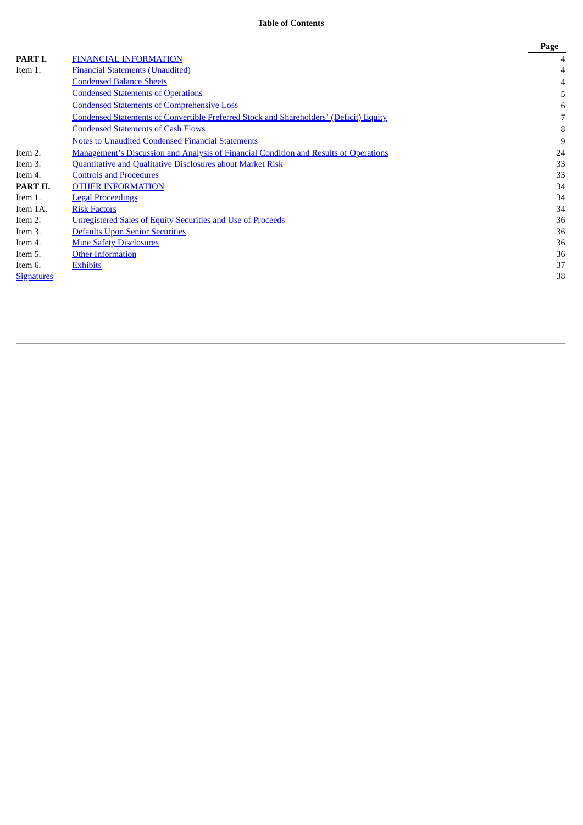# **Table of Contents**

|                   |                                                                                               | Page                     |
|-------------------|-----------------------------------------------------------------------------------------------|--------------------------|
| PART I.           | <b>FINANCIAL INFORMATION</b>                                                                  |                          |
| Item 1.           | <b>Financial Statements (Unaudited)</b>                                                       | $\overline{\mathcal{A}}$ |
|                   | <b>Condensed Balance Sheets</b>                                                               |                          |
|                   | <b>Condensed Statements of Operations</b>                                                     | 5                        |
|                   | <b>Condensed Statements of Comprehensive Loss</b>                                             | 6                        |
|                   | <b>Condensed Statements of Convertible Preferred Stock and Shareholders' (Deficit) Equity</b> |                          |
|                   | <b>Condensed Statements of Cash Flows</b>                                                     | 8                        |
|                   | <b>Notes to Unaudited Condensed Financial Statements</b>                                      | 9                        |
| Item 2.           | <b>Management's Discussion and Analysis of Financial Condition and Results of Operations</b>  | 24                       |
| Item 3.           | <b>Quantitative and Qualitative Disclosures about Market Risk</b>                             | 33                       |
| Item 4.           | <b>Controls and Procedures</b>                                                                | 33                       |
| PART II.          | <b>OTHER INFORMATION</b>                                                                      | 34                       |
| Item 1.           | <b>Legal Proceedings</b>                                                                      | 34                       |
| Item 1A.          | <b>Risk Factors</b>                                                                           | 34                       |
| Item 2.           | <b>Unregistered Sales of Equity Securities and Use of Proceeds</b>                            | 36                       |
| Item 3.           | <b>Defaults Upon Senior Securities</b>                                                        | 36                       |
| Item 4.           | <b>Mine Safety Disclosures</b>                                                                | 36                       |
| Item 5.           | <b>Other Information</b>                                                                      | 36                       |
| Item 6.           | <b>Exhibits</b>                                                                               | 37                       |
| <b>Signatures</b> |                                                                                               | 38                       |
|                   |                                                                                               |                          |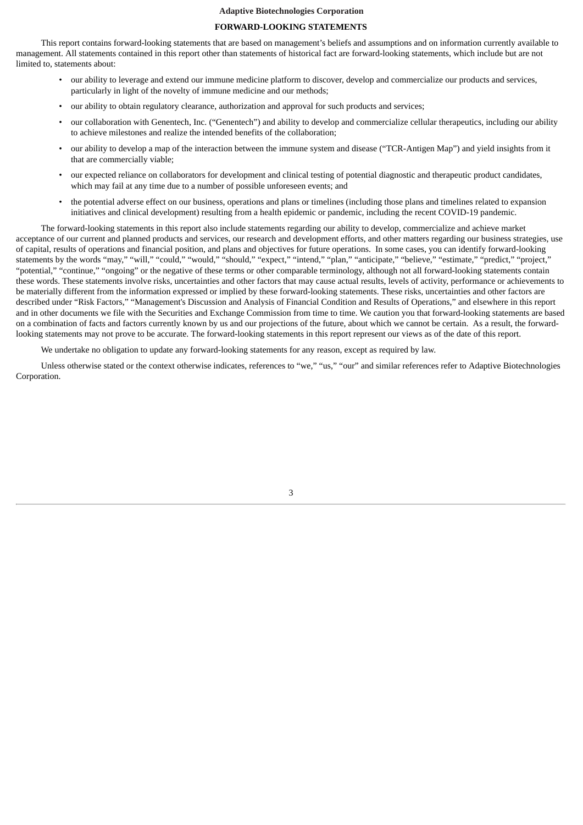## **FORWARD-LOOKING STATEMENTS**

This report contains forward-looking statements that are based on management's beliefs and assumptions and on information currently available to management. All statements contained in this report other than statements of historical fact are forward-looking statements, which include but are not limited to, statements about:

- our ability to leverage and extend our immune medicine platform to discover, develop and commercialize our products and services, particularly in light of the novelty of immune medicine and our methods;
- our ability to obtain regulatory clearance, authorization and approval for such products and services;
- our collaboration with Genentech, Inc. ("Genentech") and ability to develop and commercialize cellular therapeutics, including our ability to achieve milestones and realize the intended benefits of the collaboration;
- our ability to develop a map of the interaction between the immune system and disease ("TCR-Antigen Map") and yield insights from it that are commercially viable;
- our expected reliance on collaborators for development and clinical testing of potential diagnostic and therapeutic product candidates, which may fail at any time due to a number of possible unforeseen events; and
- the potential adverse effect on our business, operations and plans or timelines (including those plans and timelines related to expansion initiatives and clinical development) resulting from a health epidemic or pandemic, including the recent COVID-19 pandemic.

The forward-looking statements in this report also include statements regarding our ability to develop, commercialize and achieve market acceptance of our current and planned products and services, our research and development efforts, and other matters regarding our business strategies, use of capital, results of operations and financial position, and plans and objectives for future operations. In some cases, you can identify forward-looking statements by the words "may," "will," "could," "would," "should," "expect," "intend," "plan," "anticipate," "believe," "estimate," "predict," "project," "potential," "continue," "ongoing" or the negative of these terms or other comparable terminology, although not all forward-looking statements contain these words. These statements involve risks, uncertainties and other factors that may cause actual results, levels of activity, performance or achievements to be materially different from the information expressed or implied by these forward-looking statements. These risks, uncertainties and other factors are described under "Risk Factors," "Management's Discussion and Analysis of Financial Condition and Results of Operations," and elsewhere in this report and in other documents we file with the Securities and Exchange Commission from time to time. We caution you that forward-looking statements are based on a combination of facts and factors currently known by us and our projections of the future, about which we cannot be certain. As a result, the forwardlooking statements may not prove to be accurate. The forward-looking statements in this report represent our views as of the date of this report.

We undertake no obligation to update any forward-looking statements for any reason, except as required by law.

Unless otherwise stated or the context otherwise indicates, references to "we," "us," "our" and similar references refer to Adaptive Biotechnologies Corporation.

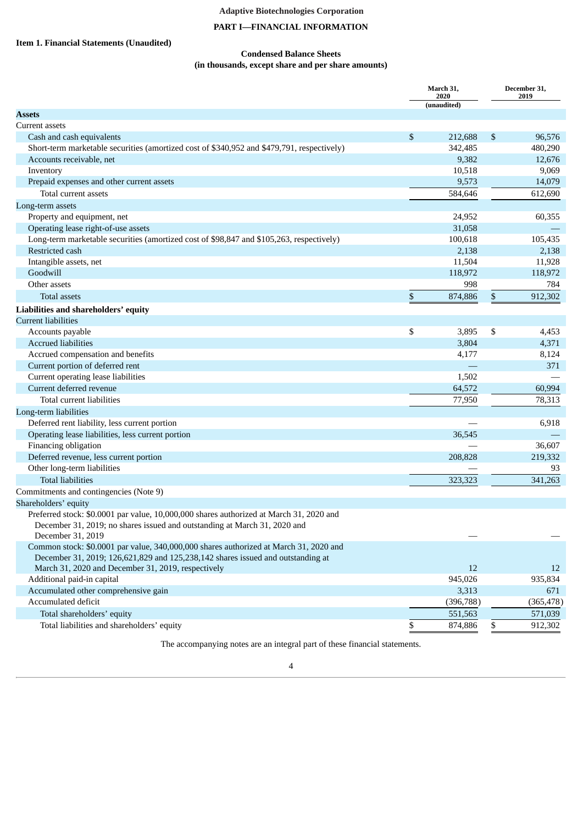# **PART I—FINANCIAL INFORMATION**

# <span id="page-3-2"></span><span id="page-3-1"></span><span id="page-3-0"></span>**Item 1. Financial Statements (Unaudited)**

# **Condensed Balance Sheets (in thousands, except share and per share amounts)**

|                                                                                                                                                                                           |      | March 31,<br>2020<br>(unaudited) | December 31,<br>2019 |
|-------------------------------------------------------------------------------------------------------------------------------------------------------------------------------------------|------|----------------------------------|----------------------|
| <b>Assets</b>                                                                                                                                                                             |      |                                  |                      |
| Current assets                                                                                                                                                                            |      |                                  |                      |
| Cash and cash equivalents                                                                                                                                                                 | \$   | 212,688                          | \$<br>96,576         |
| Short-term marketable securities (amortized cost of \$340,952 and \$479,791, respectively)                                                                                                |      | 342,485                          | 480,290              |
| Accounts receivable, net                                                                                                                                                                  |      | 9,382                            | 12,676               |
| Inventory                                                                                                                                                                                 |      | 10,518                           | 9,069                |
| Prepaid expenses and other current assets                                                                                                                                                 |      | 9,573                            | 14,079               |
| Total current assets                                                                                                                                                                      |      | 584,646                          | 612,690              |
| Long-term assets                                                                                                                                                                          |      |                                  |                      |
| Property and equipment, net                                                                                                                                                               |      | 24,952                           | 60,355               |
| Operating lease right-of-use assets                                                                                                                                                       |      | 31,058                           |                      |
| Long-term marketable securities (amortized cost of \$98,847 and \$105,263, respectively)                                                                                                  |      | 100,618                          | 105,435              |
| Restricted cash                                                                                                                                                                           |      | 2,138                            | 2,138                |
| Intangible assets, net                                                                                                                                                                    |      | 11,504                           | 11,928               |
| Goodwill                                                                                                                                                                                  |      | 118,972                          | 118,972              |
| Other assets                                                                                                                                                                              |      | 998                              | 784                  |
| Total assets                                                                                                                                                                              | $\$$ | 874,886                          | \$<br>912,302        |
| Liabilities and shareholders' equity                                                                                                                                                      |      |                                  |                      |
| <b>Current liabilities</b>                                                                                                                                                                |      |                                  |                      |
| Accounts payable                                                                                                                                                                          | \$   | 3,895                            | \$<br>4,453          |
| <b>Accrued liabilities</b>                                                                                                                                                                |      | 3,804                            | 4,371                |
| Accrued compensation and benefits                                                                                                                                                         |      | 4,177                            | 8,124                |
| Current portion of deferred rent                                                                                                                                                          |      |                                  | 371                  |
| Current operating lease liabilities                                                                                                                                                       |      | 1,502                            |                      |
| Current deferred revenue                                                                                                                                                                  |      | 64,572                           | 60,994               |
| Total current liabilities                                                                                                                                                                 |      | 77,950                           | 78,313               |
| Long-term liabilities                                                                                                                                                                     |      |                                  |                      |
| Deferred rent liability, less current portion                                                                                                                                             |      |                                  | 6,918                |
| Operating lease liabilities, less current portion                                                                                                                                         |      | 36,545                           |                      |
| Financing obligation                                                                                                                                                                      |      |                                  | 36,607               |
| Deferred revenue, less current portion                                                                                                                                                    |      | 208,828                          | 219,332              |
| Other long-term liabilities                                                                                                                                                               |      |                                  | 93                   |
| <b>Total liabilities</b>                                                                                                                                                                  |      | 323,323                          | 341,263              |
| Commitments and contingencies (Note 9)                                                                                                                                                    |      |                                  |                      |
| Shareholders' equity                                                                                                                                                                      |      |                                  |                      |
| Preferred stock: \$0.0001 par value, 10,000,000 shares authorized at March 31, 2020 and<br>December 31, 2019; no shares issued and outstanding at March 31, 2020 and<br>December 31, 2019 |      |                                  |                      |
| Common stock: \$0.0001 par value, 340,000,000 shares authorized at March 31, 2020 and<br>December 31, 2019; 126,621,829 and 125,238,142 shares issued and outstanding at                  |      |                                  |                      |
| March 31, 2020 and December 31, 2019, respectively                                                                                                                                        |      | 12                               | 12                   |
| Additional paid-in capital                                                                                                                                                                |      | 945,026                          | 935,834              |
| Accumulated other comprehensive gain                                                                                                                                                      |      | 3,313                            | 671                  |
| Accumulated deficit                                                                                                                                                                       |      | (396, 788)                       | (365, 478)           |
| Total shareholders' equity                                                                                                                                                                |      | 551,563                          | 571,039              |
| Total liabilities and shareholders' equity                                                                                                                                                | \$   | 874,886                          | \$<br>912,302        |
|                                                                                                                                                                                           |      |                                  |                      |

The accompanying notes are an integral part of these financial statements.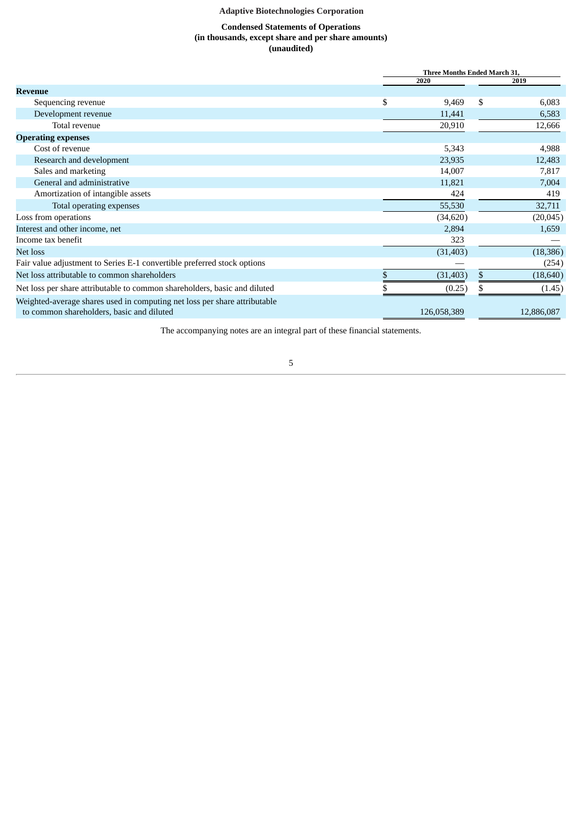# **Condensed Statements of Operations (in thousands, except share and per share amounts) (unaudited)**

<span id="page-4-0"></span>

|                                                                           | Three Months Ended March 31, |    |            |  |  |  |
|---------------------------------------------------------------------------|------------------------------|----|------------|--|--|--|
|                                                                           | 2020                         |    | 2019       |  |  |  |
| <b>Revenue</b>                                                            |                              |    |            |  |  |  |
| Sequencing revenue                                                        | \$<br>9,469                  | \$ | 6,083      |  |  |  |
| Development revenue                                                       | 11,441                       |    | 6,583      |  |  |  |
| Total revenue                                                             | 20,910                       |    | 12,666     |  |  |  |
| <b>Operating expenses</b>                                                 |                              |    |            |  |  |  |
| Cost of revenue                                                           | 5,343                        |    | 4,988      |  |  |  |
| Research and development                                                  | 23,935                       |    | 12,483     |  |  |  |
| Sales and marketing                                                       | 14,007                       |    | 7,817      |  |  |  |
| General and administrative                                                | 11,821                       |    | 7,004      |  |  |  |
| Amortization of intangible assets                                         | 424                          |    | 419        |  |  |  |
| Total operating expenses                                                  | 55,530                       |    | 32,711     |  |  |  |
| Loss from operations                                                      | (34, 620)                    |    | (20, 045)  |  |  |  |
| Interest and other income, net                                            | 2,894                        |    | 1,659      |  |  |  |
| Income tax benefit                                                        | 323                          |    |            |  |  |  |
| Net loss                                                                  | (31, 403)                    |    | (18, 386)  |  |  |  |
| Fair value adjustment to Series E-1 convertible preferred stock options   |                              |    | (254)      |  |  |  |
| Net loss attributable to common shareholders                              | (31, 403)                    |    | (18, 640)  |  |  |  |
| Net loss per share attributable to common shareholders, basic and diluted | (0.25)                       |    | (1.45)     |  |  |  |
| Weighted-average shares used in computing net loss per share attributable |                              |    |            |  |  |  |
| to common shareholders, basic and diluted                                 | 126,058,389                  |    | 12,886,087 |  |  |  |
|                                                                           |                              |    |            |  |  |  |

The accompanying notes are an integral part of these financial statements.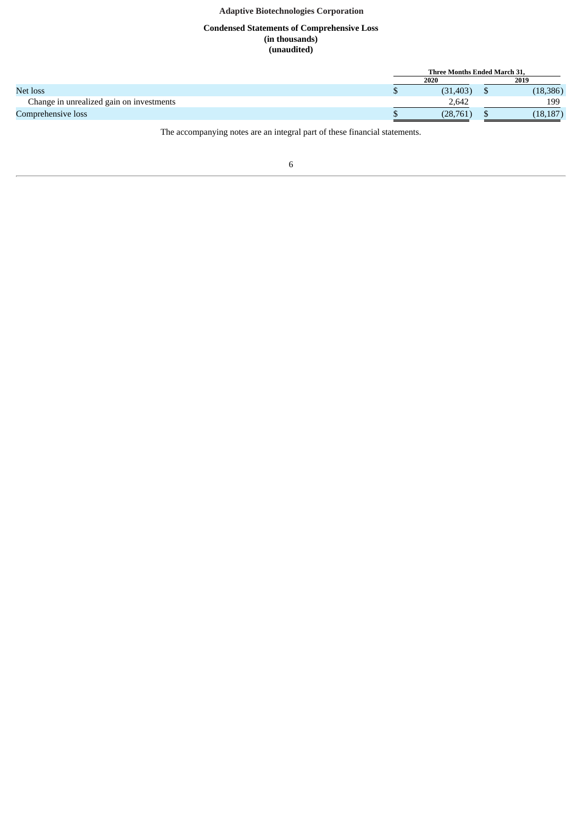### **Condensed Statements of Comprehensive Loss (in thousands) (unaudited)**

<span id="page-5-0"></span>

|                                          | Three Months Ended March 31, |  |           |  |  |  |
|------------------------------------------|------------------------------|--|-----------|--|--|--|
|                                          | 2020                         |  | 2019      |  |  |  |
| Net loss                                 | (31, 403)                    |  | (18, 386) |  |  |  |
| Change in unrealized gain on investments | 2.642                        |  | 199       |  |  |  |
| Comprehensive loss                       | (28,761)                     |  | (18, 187) |  |  |  |
|                                          |                              |  |           |  |  |  |

The accompanying notes are an integral part of these financial statements.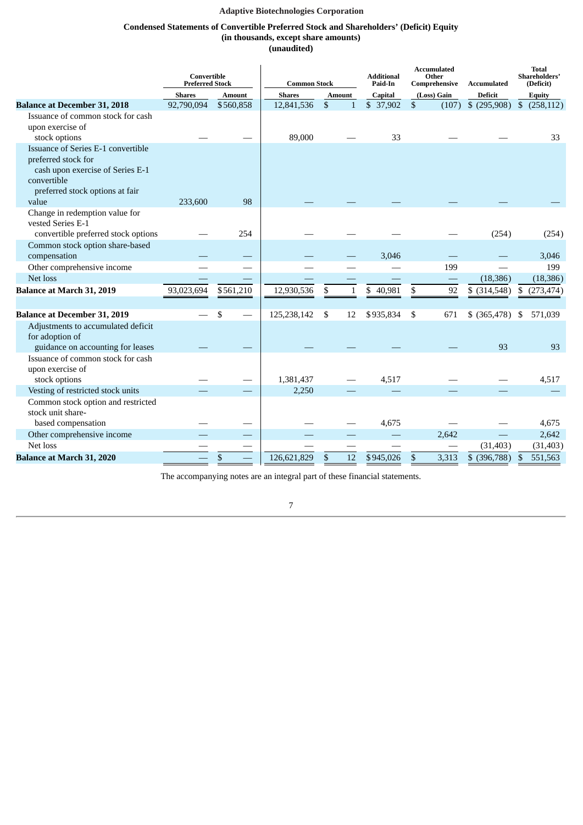**Condensed Statements of Convertible Preferred Stock and Shareholders' (Deficit) Equity**

**(in thousands, except share amounts)**

**(unaudited)**

<span id="page-6-0"></span>

|                                                                                                                                                 | Convertible<br><b>Preferred Stock</b> |               | <b>Common Stock</b> |               |              | Additional<br>Paid-In | <b>Accumulated</b><br>Other<br>Comprehensive |                          | Accumulated      | <b>Total</b><br>Shareholders'<br>(Deficit) |
|-------------------------------------------------------------------------------------------------------------------------------------------------|---------------------------------------|---------------|---------------------|---------------|--------------|-----------------------|----------------------------------------------|--------------------------|------------------|--------------------------------------------|
|                                                                                                                                                 | <b>Shares</b>                         | <b>Amount</b> | <b>Shares</b>       | <b>Amount</b> |              | Capital               |                                              | (Loss) Gain              | <b>Deficit</b>   | <b>Equity</b>                              |
| <b>Balance at December 31, 2018</b>                                                                                                             | 92,790,094                            | \$560,858     | 12,841,536          | \$            | $\mathbf 1$  | \$ 37,902             | \$                                           | (107)                    | $$$ (295,908)    | \$(258, 112)                               |
| Issuance of common stock for cash<br>upon exercise of<br>stock options                                                                          |                                       |               | 89,000              |               |              | 33                    |                                              |                          |                  | 33                                         |
| Issuance of Series E-1 convertible<br>preferred stock for<br>cash upon exercise of Series E-1<br>convertible<br>preferred stock options at fair |                                       |               |                     |               |              |                       |                                              |                          |                  |                                            |
| value                                                                                                                                           | 233,600                               | 98            |                     |               |              |                       |                                              |                          |                  |                                            |
| Change in redemption value for<br>vested Series E-1<br>convertible preferred stock options                                                      |                                       | 254           |                     |               |              |                       |                                              |                          | (254)            | (254)                                      |
| Common stock option share-based                                                                                                                 |                                       |               |                     |               |              |                       |                                              |                          |                  |                                            |
| compensation                                                                                                                                    |                                       |               |                     |               |              | 3,046                 |                                              |                          |                  | 3,046                                      |
| Other comprehensive income                                                                                                                      |                                       |               |                     |               |              |                       |                                              | 199                      |                  | 199                                        |
| Net loss                                                                                                                                        |                                       |               |                     |               |              |                       |                                              | $\overline{\phantom{0}}$ | (18, 386)        | (18, 386)                                  |
| Balance at March 31, 2019                                                                                                                       | 93,023,694                            | \$561,210     | 12,930,536          | \$            | $\mathbf{1}$ | \$<br>40,981          | \$                                           | 92                       | \$ (314,548)     | \$<br>(273, 474)                           |
|                                                                                                                                                 |                                       |               |                     |               |              |                       |                                              |                          |                  |                                            |
| <b>Balance at December 31, 2019</b>                                                                                                             |                                       | \$            | 125,238,142         | \$            | 12           | \$935,834             | \$                                           | 671                      | $$$ (365,478)    | \$<br>571,039                              |
| Adjustments to accumulated deficit<br>for adoption of                                                                                           |                                       |               |                     |               |              |                       |                                              |                          |                  |                                            |
| guidance on accounting for leases                                                                                                               |                                       |               |                     |               |              |                       |                                              |                          | 93               | 93                                         |
| Issuance of common stock for cash<br>upon exercise of                                                                                           |                                       |               |                     |               |              |                       |                                              |                          |                  |                                            |
| stock options                                                                                                                                   |                                       |               | 1,381,437           |               |              | 4,517                 |                                              |                          |                  | 4,517                                      |
| Vesting of restricted stock units                                                                                                               |                                       |               | 2,250               |               |              |                       |                                              |                          |                  |                                            |
| Common stock option and restricted<br>stock unit share-                                                                                         |                                       |               |                     |               |              |                       |                                              |                          |                  |                                            |
| based compensation                                                                                                                              |                                       |               |                     |               |              | 4,675                 |                                              |                          |                  | 4,675                                      |
| Other comprehensive income                                                                                                                      |                                       |               |                     |               |              |                       |                                              | 2,642                    |                  | 2,642                                      |
| Net loss                                                                                                                                        |                                       |               |                     |               |              |                       |                                              |                          | (31, 403)        | (31, 403)                                  |
| <b>Balance at March 31, 2020</b>                                                                                                                |                                       | \$            | 126,621,829         | \$            | 12           | \$945,026             | \$                                           | 3,313                    | \$<br>(396, 788) | \$<br>551,563                              |

The accompanying notes are an integral part of these financial statements.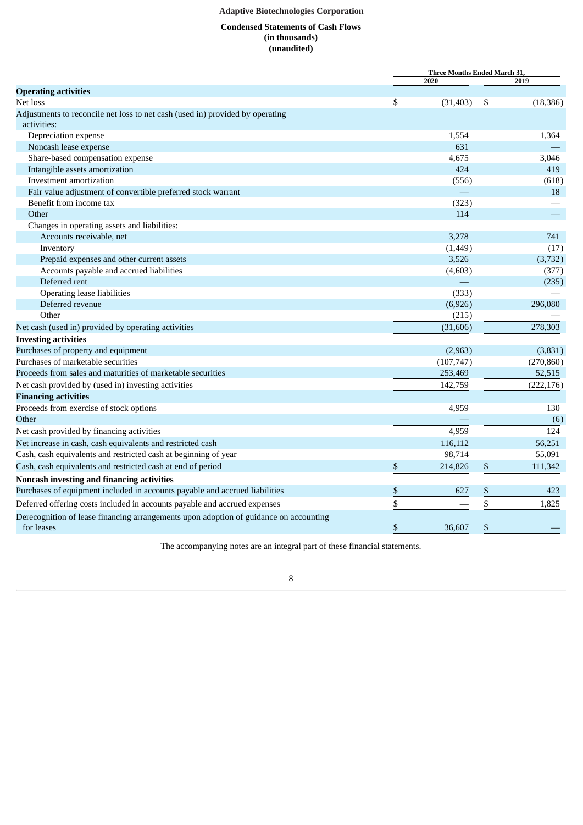# **Condensed Statements of Cash Flows (in thousands) (unaudited)**

<span id="page-7-0"></span>

|                                                                                       | <b>Three Months Ended March 31,</b> |      |            |  |  |
|---------------------------------------------------------------------------------------|-------------------------------------|------|------------|--|--|
|                                                                                       | 2020                                |      | 2019       |  |  |
| <b>Operating activities</b>                                                           |                                     |      |            |  |  |
| Net loss                                                                              | \$<br>(31, 403)                     | \$   | (18, 386)  |  |  |
| Adjustments to reconcile net loss to net cash (used in) provided by operating         |                                     |      |            |  |  |
| activities:                                                                           |                                     |      |            |  |  |
| Depreciation expense                                                                  | 1,554                               |      | 1,364      |  |  |
| Noncash lease expense                                                                 | 631                                 |      |            |  |  |
| Share-based compensation expense                                                      | 4,675                               |      | 3,046      |  |  |
| Intangible assets amortization                                                        | 424                                 |      | 419        |  |  |
| Investment amortization                                                               | (556)                               |      | (618)      |  |  |
| Fair value adjustment of convertible preferred stock warrant                          |                                     |      | 18         |  |  |
| Benefit from income tax                                                               | (323)                               |      |            |  |  |
| Other                                                                                 | 114                                 |      |            |  |  |
| Changes in operating assets and liabilities:                                          |                                     |      |            |  |  |
| Accounts receivable, net                                                              | 3,278                               |      | 741        |  |  |
| Inventory                                                                             | (1, 449)                            |      | (17)       |  |  |
| Prepaid expenses and other current assets                                             | 3,526                               |      | (3,732)    |  |  |
| Accounts payable and accrued liabilities                                              | (4,603)                             |      | (377)      |  |  |
| Deferred rent                                                                         |                                     |      | (235)      |  |  |
| Operating lease liabilities                                                           | (333)                               |      |            |  |  |
| Deferred revenue                                                                      | (6,926)                             |      | 296,080    |  |  |
| Other                                                                                 | (215)                               |      |            |  |  |
| Net cash (used in) provided by operating activities                                   | (31,606)                            |      | 278,303    |  |  |
| <b>Investing activities</b>                                                           |                                     |      |            |  |  |
| Purchases of property and equipment                                                   | (2,963)                             |      | (3,831)    |  |  |
| Purchases of marketable securities                                                    | (107, 747)                          |      | (270, 860) |  |  |
| Proceeds from sales and maturities of marketable securities                           | 253,469                             |      | 52,515     |  |  |
| Net cash provided by (used in) investing activities                                   | 142,759                             |      | (222, 176) |  |  |
| <b>Financing activities</b>                                                           |                                     |      |            |  |  |
| Proceeds from exercise of stock options                                               | 4,959                               |      | 130        |  |  |
| Other                                                                                 |                                     |      | (6)        |  |  |
| Net cash provided by financing activities                                             | 4,959                               |      | 124        |  |  |
| Net increase in cash, cash equivalents and restricted cash                            | 116,112                             |      | 56,251     |  |  |
| Cash, cash equivalents and restricted cash at beginning of year                       | 98,714                              |      | 55,091     |  |  |
|                                                                                       |                                     |      |            |  |  |
| Cash, cash equivalents and restricted cash at end of period                           | \$<br>214,826                       | $\$$ | 111,342    |  |  |
| Noncash investing and financing activities                                            |                                     |      |            |  |  |
| Purchases of equipment included in accounts payable and accrued liabilities           | \$<br>627                           | \$   | 423        |  |  |
| Deferred offering costs included in accounts payable and accrued expenses             | \$                                  | \$   | 1,825      |  |  |
| Derecognition of lease financing arrangements upon adoption of guidance on accounting |                                     |      |            |  |  |
| for leases                                                                            | \$<br>36,607                        | \$   |            |  |  |

The accompanying notes are an integral part of these financial statements.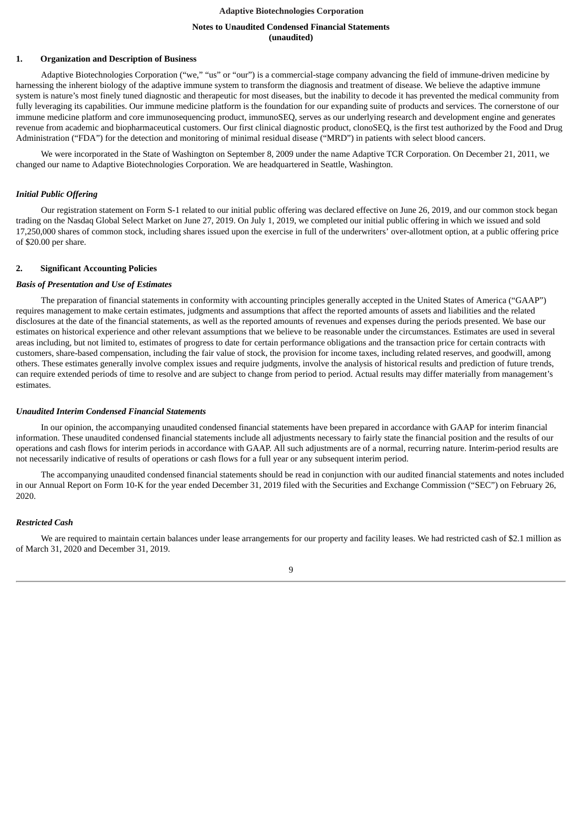# **Notes to Unaudited Condensed Financial Statements (unaudited)**

## <span id="page-8-0"></span>**1. Organization and Description of Business**

Adaptive Biotechnologies Corporation ("we," "us" or "our") is a commercial-stage company advancing the field of immune-driven medicine by harnessing the inherent biology of the adaptive immune system to transform the diagnosis and treatment of disease. We believe the adaptive immune system is nature's most finely tuned diagnostic and therapeutic for most diseases, but the inability to decode it has prevented the medical community from fully leveraging its capabilities. Our immune medicine platform is the foundation for our expanding suite of products and services. The cornerstone of our immune medicine platform and core immunosequencing product, immunoSEQ, serves as our underlying research and development engine and generates revenue from academic and biopharmaceutical customers. Our first clinical diagnostic product, clonoSEQ, is the first test authorized by the Food and Drug Administration ("FDA") for the detection and monitoring of minimal residual disease ("MRD") in patients with select blood cancers.

We were incorporated in the State of Washington on September 8, 2009 under the name Adaptive TCR Corporation. On December 21, 2011, we changed our name to Adaptive Biotechnologies Corporation. We are headquartered in Seattle, Washington.

#### *Initial Public Offering*

Our registration statement on Form S-1 related to our initial public offering was declared effective on June 26, 2019, and our common stock began trading on the Nasdaq Global Select Market on June 27, 2019. On July 1, 2019, we completed our initial public offering in which we issued and sold 17,250,000 shares of common stock, including shares issued upon the exercise in full of the underwriters' over-allotment option, at a public offering price of \$20.00 per share.

#### **2. Significant Accounting Policies**

#### *Basis of Presentation and Use of Estimates*

The preparation of financial statements in conformity with accounting principles generally accepted in the United States of America ("GAAP") requires management to make certain estimates, judgments and assumptions that affect the reported amounts of assets and liabilities and the related disclosures at the date of the financial statements, as well as the reported amounts of revenues and expenses during the periods presented. We base our estimates on historical experience and other relevant assumptions that we believe to be reasonable under the circumstances. Estimates are used in several areas including, but not limited to, estimates of progress to date for certain performance obligations and the transaction price for certain contracts with customers, share-based compensation, including the fair value of stock, the provision for income taxes, including related reserves, and goodwill, among others. These estimates generally involve complex issues and require judgments, involve the analysis of historical results and prediction of future trends, can require extended periods of time to resolve and are subject to change from period to period. Actual results may differ materially from management's estimates.

### *Unaudited Interim Condensed Financial Statements*

In our opinion, the accompanying unaudited condensed financial statements have been prepared in accordance with GAAP for interim financial information. These unaudited condensed financial statements include all adjustments necessary to fairly state the financial position and the results of our operations and cash flows for interim periods in accordance with GAAP. All such adjustments are of a normal, recurring nature. Interim-period results are not necessarily indicative of results of operations or cash flows for a full year or any subsequent interim period.

The accompanying unaudited condensed financial statements should be read in conjunction with our audited financial statements and notes included in our Annual Report on Form 10-K for the year ended December 31, 2019 filed with the Securities and Exchange Commission ("SEC") on February 26, 2020.

## *Restricted Cash*

We are required to maintain certain balances under lease arrangements for our property and facility leases. We had restricted cash of \$2.1 million as of March 31, 2020 and December 31, 2019.

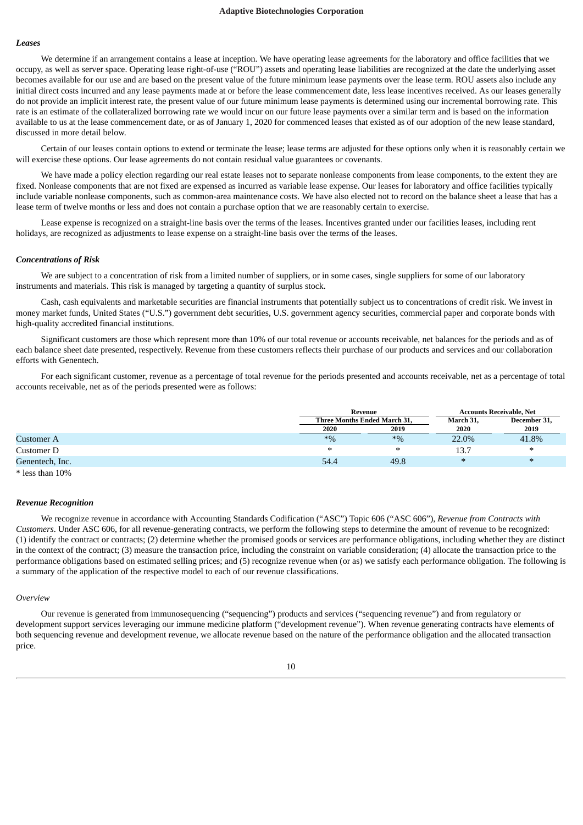#### *Leases*

We determine if an arrangement contains a lease at inception. We have operating lease agreements for the laboratory and office facilities that we occupy, as well as server space. Operating lease right-of-use ("ROU") assets and operating lease liabilities are recognized at the date the underlying asset becomes available for our use and are based on the present value of the future minimum lease payments over the lease term. ROU assets also include any initial direct costs incurred and any lease payments made at or before the lease commencement date, less lease incentives received. As our leases generally do not provide an implicit interest rate, the present value of our future minimum lease payments is determined using our incremental borrowing rate. This rate is an estimate of the collateralized borrowing rate we would incur on our future lease payments over a similar term and is based on the information available to us at the lease commencement date, or as of January 1, 2020 for commenced leases that existed as of our adoption of the new lease standard, discussed in more detail below.

Certain of our leases contain options to extend or terminate the lease; lease terms are adjusted for these options only when it is reasonably certain we will exercise these options. Our lease agreements do not contain residual value guarantees or covenants.

We have made a policy election regarding our real estate leases not to separate nonlease components from lease components, to the extent they are fixed. Nonlease components that are not fixed are expensed as incurred as variable lease expense. Our leases for laboratory and office facilities typically include variable nonlease components, such as common-area maintenance costs. We have also elected not to record on the balance sheet a lease that has a lease term of twelve months or less and does not contain a purchase option that we are reasonably certain to exercise.

Lease expense is recognized on a straight-line basis over the terms of the leases. Incentives granted under our facilities leases, including rent holidays, are recognized as adjustments to lease expense on a straight-line basis over the terms of the leases.

#### *Concentrations of Risk*

We are subject to a concentration of risk from a limited number of suppliers, or in some cases, single suppliers for some of our laboratory instruments and materials. This risk is managed by targeting a quantity of surplus stock.

Cash, cash equivalents and marketable securities are financial instruments that potentially subject us to concentrations of credit risk. We invest in money market funds, United States ("U.S.") government debt securities, U.S. government agency securities, commercial paper and corporate bonds with high-quality accredited financial institutions.

Significant customers are those which represent more than 10% of our total revenue or accounts receivable, net balances for the periods and as of each balance sheet date presented, respectively. Revenue from these customers reflects their purchase of our products and services and our collaboration efforts with Genentech.

For each significant customer, revenue as a percentage of total revenue for the periods presented and accounts receivable, net as a percentage of total accounts receivable, net as of the periods presented were as follows:

|                 | Revenue |                              |       | <b>Accounts Receivable, Net</b> |  |              |
|-----------------|---------|------------------------------|-------|---------------------------------|--|--------------|
|                 |         | Three Months Ended March 31. |       |                                 |  | December 31, |
|                 | 2020    | 2019                         | 2020  | 2019                            |  |              |
| Customer A      | $*9/0$  | $*9/6$                       | 22.0% | 41.8%                           |  |              |
| Customer D      | ∗       | ∗                            | 13.7  | ∗                               |  |              |
| Genentech, Inc. | 54.4    | 49.8                         |       | ∗                               |  |              |

\* less than 10%

#### *Revenue Recognition*

We recognize revenue in accordance with Accounting Standards Codification ("ASC") Topic 606 ("ASC 606"), *Revenue from Contracts with Customers*. Under ASC 606, for all revenue-generating contracts, we perform the following steps to determine the amount of revenue to be recognized: (1) identify the contract or contracts; (2) determine whether the promised goods or services are performance obligations, including whether they are distinct in the context of the contract; (3) measure the transaction price, including the constraint on variable consideration; (4) allocate the transaction price to the performance obligations based on estimated selling prices; and (5) recognize revenue when (or as) we satisfy each performance obligation. The following is a summary of the application of the respective model to each of our revenue classifications.

#### *Overview*

Our revenue is generated from immunosequencing ("sequencing") products and services ("sequencing revenue") and from regulatory or development support services leveraging our immune medicine platform ("development revenue"). When revenue generating contracts have elements of both sequencing revenue and development revenue, we allocate revenue based on the nature of the performance obligation and the allocated transaction price.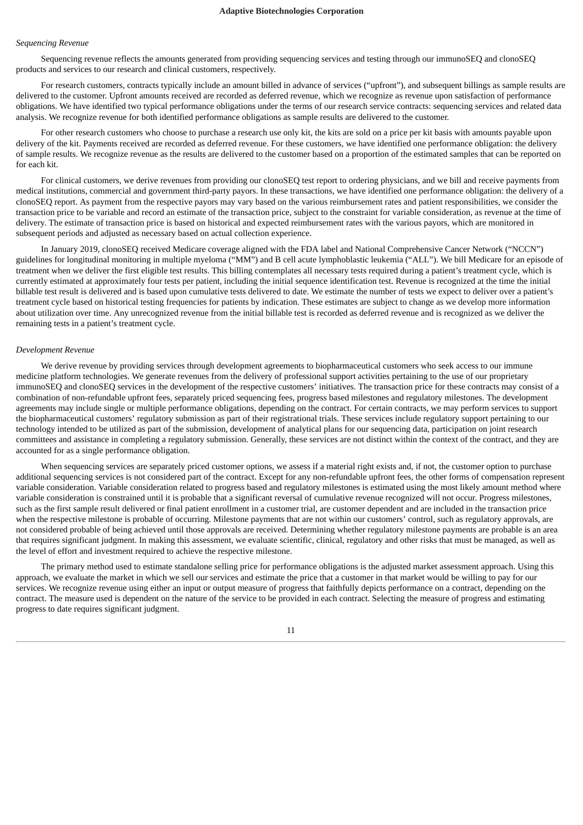#### *Sequencing Revenue*

Sequencing revenue reflects the amounts generated from providing sequencing services and testing through our immunoSEQ and clonoSEQ products and services to our research and clinical customers, respectively.

For research customers, contracts typically include an amount billed in advance of services ("upfront"), and subsequent billings as sample results are delivered to the customer. Upfront amounts received are recorded as deferred revenue, which we recognize as revenue upon satisfaction of performance obligations. We have identified two typical performance obligations under the terms of our research service contracts: sequencing services and related data analysis. We recognize revenue for both identified performance obligations as sample results are delivered to the customer.

For other research customers who choose to purchase a research use only kit, the kits are sold on a price per kit basis with amounts payable upon delivery of the kit. Payments received are recorded as deferred revenue. For these customers, we have identified one performance obligation: the delivery of sample results. We recognize revenue as the results are delivered to the customer based on a proportion of the estimated samples that can be reported on for each kit.

For clinical customers, we derive revenues from providing our clonoSEQ test report to ordering physicians, and we bill and receive payments from medical institutions, commercial and government third-party payors. In these transactions, we have identified one performance obligation: the delivery of a clonoSEQ report. As payment from the respective payors may vary based on the various reimbursement rates and patient responsibilities, we consider the transaction price to be variable and record an estimate of the transaction price, subject to the constraint for variable consideration, as revenue at the time of delivery. The estimate of transaction price is based on historical and expected reimbursement rates with the various payors, which are monitored in subsequent periods and adjusted as necessary based on actual collection experience.

In January 2019, clonoSEQ received Medicare coverage aligned with the FDA label and National Comprehensive Cancer Network ("NCCN") guidelines for longitudinal monitoring in multiple myeloma ("MM") and B cell acute lymphoblastic leukemia ("ALL"). We bill Medicare for an episode of treatment when we deliver the first eligible test results. This billing contemplates all necessary tests required during a patient's treatment cycle, which is currently estimated at approximately four tests per patient, including the initial sequence identification test. Revenue is recognized at the time the initial billable test result is delivered and is based upon cumulative tests delivered to date. We estimate the number of tests we expect to deliver over a patient's treatment cycle based on historical testing frequencies for patients by indication. These estimates are subject to change as we develop more information about utilization over time. Any unrecognized revenue from the initial billable test is recorded as deferred revenue and is recognized as we deliver the remaining tests in a patient's treatment cycle.

#### *Development Revenue*

We derive revenue by providing services through development agreements to biopharmaceutical customers who seek access to our immune medicine platform technologies. We generate revenues from the delivery of professional support activities pertaining to the use of our proprietary immunoSEQ and clonoSEQ services in the development of the respective customers' initiatives. The transaction price for these contracts may consist of a combination of non-refundable upfront fees, separately priced sequencing fees, progress based milestones and regulatory milestones. The development agreements may include single or multiple performance obligations, depending on the contract. For certain contracts, we may perform services to support the biopharmaceutical customers' regulatory submission as part of their registrational trials. These services include regulatory support pertaining to our technology intended to be utilized as part of the submission, development of analytical plans for our sequencing data, participation on joint research committees and assistance in completing a regulatory submission. Generally, these services are not distinct within the context of the contract, and they are accounted for as a single performance obligation.

When sequencing services are separately priced customer options, we assess if a material right exists and, if not, the customer option to purchase additional sequencing services is not considered part of the contract. Except for any non-refundable upfront fees, the other forms of compensation represent variable consideration. Variable consideration related to progress based and regulatory milestones is estimated using the most likely amount method where variable consideration is constrained until it is probable that a significant reversal of cumulative revenue recognized will not occur. Progress milestones, such as the first sample result delivered or final patient enrollment in a customer trial, are customer dependent and are included in the transaction price when the respective milestone is probable of occurring. Milestone payments that are not within our customers' control, such as regulatory approvals, are not considered probable of being achieved until those approvals are received. Determining whether regulatory milestone payments are probable is an area that requires significant judgment. In making this assessment, we evaluate scientific, clinical, regulatory and other risks that must be managed, as well as the level of effort and investment required to achieve the respective milestone.

The primary method used to estimate standalone selling price for performance obligations is the adjusted market assessment approach. Using this approach, we evaluate the market in which we sell our services and estimate the price that a customer in that market would be willing to pay for our services. We recognize revenue using either an input or output measure of progress that faithfully depicts performance on a contract, depending on the contract. The measure used is dependent on the nature of the service to be provided in each contract. Selecting the measure of progress and estimating progress to date requires significant judgment.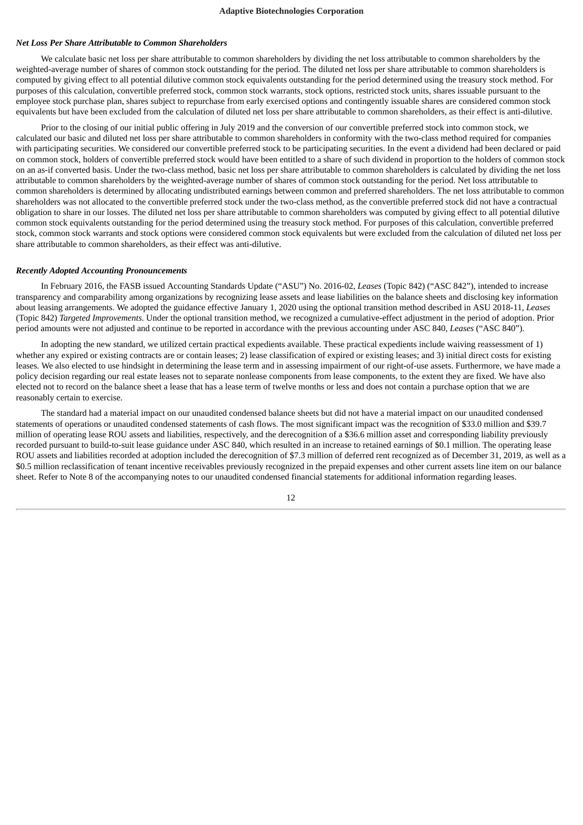#### *Net Loss Per Share Attributable to Common Shareholders*

We calculate basic net loss per share attributable to common shareholders by dividing the net loss attributable to common shareholders by the weighted-average number of shares of common stock outstanding for the period. The diluted net loss per share attributable to common shareholders is computed by giving effect to all potential dilutive common stock equivalents outstanding for the period determined using the treasury stock method. For purposes of this calculation, convertible preferred stock, common stock warrants, stock options, restricted stock units, shares issuable pursuant to the employee stock purchase plan, shares subject to repurchase from early exercised options and contingently issuable shares are considered common stock equivalents but have been excluded from the calculation of diluted net loss per share attributable to common shareholders, as their effect is anti-dilutive.

Prior to the closing of our initial public offering in July 2019 and the conversion of our convertible preferred stock into common stock, we calculated our basic and diluted net loss per share attributable to common shareholders in conformity with the two-class method required for companies with participating securities. We considered our convertible preferred stock to be participating securities. In the event a dividend had been declared or paid on common stock, holders of convertible preferred stock would have been entitled to a share of such dividend in proportion to the holders of common stock on an as-if converted basis. Under the two-class method, basic net loss per share attributable to common shareholders is calculated by dividing the net loss attributable to common shareholders by the weighted-average number of shares of common stock outstanding for the period. Net loss attributable to common shareholders is determined by allocating undistributed earnings between common and preferred shareholders. The net loss attributable to common shareholders was not allocated to the convertible preferred stock under the two-class method, as the convertible preferred stock did not have a contractual obligation to share in our losses. The diluted net loss per share attributable to common shareholders was computed by giving effect to all potential dilutive common stock equivalents outstanding for the period determined using the treasury stock method. For purposes of this calculation, convertible preferred stock, common stock warrants and stock options were considered common stock equivalents but were excluded from the calculation of diluted net loss per share attributable to common shareholders, as their effect was anti-dilutive.

# *Recently Adopted Accounting Pronouncements*

In February 2016, the FASB issued Accounting Standards Update ("ASU") No. 2016-02, *Leases* (Topic 842) ("ASC 842"), intended to increase transparency and comparability among organizations by recognizing lease assets and lease liabilities on the balance sheets and disclosing key information about leasing arrangements. We adopted the guidance effective January 1, 2020 using the optional transition method described in ASU 2018-11*, Leases* (Topic 842) *Targeted Improvements*. Under the optional transition method, we recognized a cumulative-effect adjustment in the period of adoption. Prior period amounts were not adjusted and continue to be reported in accordance with the previous accounting under ASC 840, *Leases* ("ASC 840").

In adopting the new standard, we utilized certain practical expedients available. These practical expedients include waiving reassessment of 1) whether any expired or existing contracts are or contain leases; 2) lease classification of expired or existing leases; and 3) initial direct costs for existing leases. We also elected to use hindsight in determining the lease term and in assessing impairment of our right-of-use assets. Furthermore, we have made a policy decision regarding our real estate leases not to separate nonlease components from lease components, to the extent they are fixed. We have also elected not to record on the balance sheet a lease that has a lease term of twelve months or less and does not contain a purchase option that we are reasonably certain to exercise.

The standard had a material impact on our unaudited condensed balance sheets but did not have a material impact on our unaudited condensed statements of operations or unaudited condensed statements of cash flows. The most significant impact was the recognition of \$33.0 million and \$39.7 million of operating lease ROU assets and liabilities, respectively, and the derecognition of a \$36.6 million asset and corresponding liability previously recorded pursuant to build-to-suit lease guidance under ASC 840, which resulted in an increase to retained earnings of \$0.1 million. The operating lease ROU assets and liabilities recorded at adoption included the derecognition of \$7.3 million of deferred rent recognized as of December 31, 2019, as well as a \$0.5 million reclassification of tenant incentive receivables previously recognized in the prepaid expenses and other current assets line item on our balance sheet. Refer to Note 8 of the accompanying notes to our unaudited condensed financial statements for additional information regarding leases.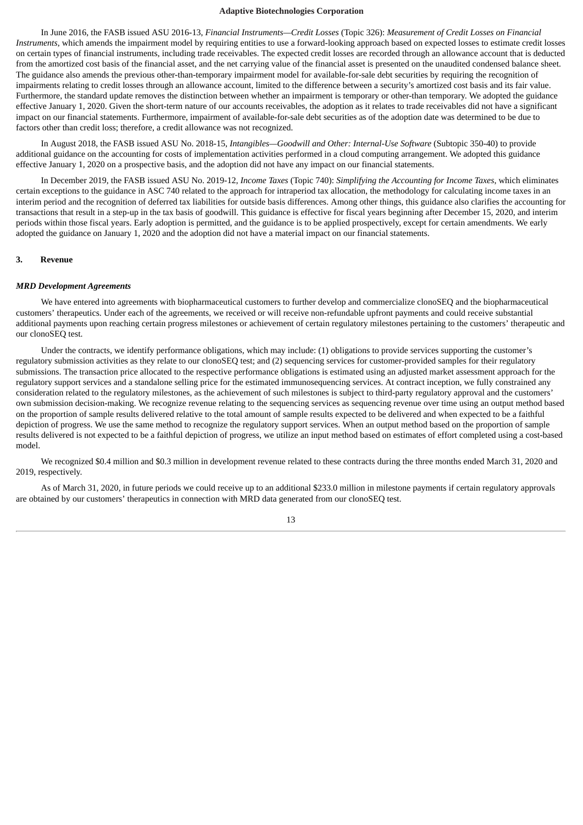In June 2016, the FASB issued ASU 2016-13, *Financial Instruments—Credit Losses* (Topic 326): *Measurement of Credit Losses on Financial Instruments*, which amends the impairment model by requiring entities to use a forward-looking approach based on expected losses to estimate credit losses on certain types of financial instruments, including trade receivables. The expected credit losses are recorded through an allowance account that is deducted from the amortized cost basis of the financial asset, and the net carrying value of the financial asset is presented on the unaudited condensed balance sheet. The guidance also amends the previous other-than-temporary impairment model for available-for-sale debt securities by requiring the recognition of impairments relating to credit losses through an allowance account, limited to the difference between a security's amortized cost basis and its fair value. Furthermore, the standard update removes the distinction between whether an impairment is temporary or other-than temporary. We adopted the guidance effective January 1, 2020. Given the short-term nature of our accounts receivables, the adoption as it relates to trade receivables did not have a significant impact on our financial statements. Furthermore, impairment of available-for-sale debt securities as of the adoption date was determined to be due to factors other than credit loss; therefore, a credit allowance was not recognized.

In August 2018, the FASB issued ASU No. 2018-15, *Intangibles—Goodwill and Other: Internal-Use Software* (Subtopic 350-40) to provide additional guidance on the accounting for costs of implementation activities performed in a cloud computing arrangement. We adopted this guidance effective January 1, 2020 on a prospective basis, and the adoption did not have any impact on our financial statements.

In December 2019, the FASB issued ASU No. 2019-12, *Income Taxes* (Topic 740): *Simplifying the Accounting for Income Taxes*, which eliminates certain exceptions to the guidance in ASC 740 related to the approach for intraperiod tax allocation, the methodology for calculating income taxes in an interim period and the recognition of deferred tax liabilities for outside basis differences. Among other things, this guidance also clarifies the accounting for transactions that result in a step-up in the tax basis of goodwill. This guidance is effective for fiscal years beginning after December 15, 2020, and interim periods within those fiscal years. Early adoption is permitted, and the guidance is to be applied prospectively, except for certain amendments. We early adopted the guidance on January 1, 2020 and the adoption did not have a material impact on our financial statements.

#### **3. Revenue**

#### *MRD Development Agreements*

We have entered into agreements with biopharmaceutical customers to further develop and commercialize clonoSEQ and the biopharmaceutical customers' therapeutics. Under each of the agreements, we received or will receive non-refundable upfront payments and could receive substantial additional payments upon reaching certain progress milestones or achievement of certain regulatory milestones pertaining to the customers' therapeutic and our clonoSEQ test.

Under the contracts, we identify performance obligations, which may include: (1) obligations to provide services supporting the customer's regulatory submission activities as they relate to our clonoSEQ test; and (2) sequencing services for customer-provided samples for their regulatory submissions. The transaction price allocated to the respective performance obligations is estimated using an adjusted market assessment approach for the regulatory support services and a standalone selling price for the estimated immunosequencing services. At contract inception, we fully constrained any consideration related to the regulatory milestones, as the achievement of such milestones is subject to third-party regulatory approval and the customers' own submission decision-making. We recognize revenue relating to the sequencing services as sequencing revenue over time using an output method based on the proportion of sample results delivered relative to the total amount of sample results expected to be delivered and when expected to be a faithful depiction of progress. We use the same method to recognize the regulatory support services. When an output method based on the proportion of sample results delivered is not expected to be a faithful depiction of progress, we utilize an input method based on estimates of effort completed using a cost-based model.

We recognized \$0.4 million and \$0.3 million in development revenue related to these contracts during the three months ended March 31, 2020 and 2019, respectively.

As of March 31, 2020, in future periods we could receive up to an additional \$233.0 million in milestone payments if certain regulatory approvals are obtained by our customers' therapeutics in connection with MRD data generated from our clonoSEQ test.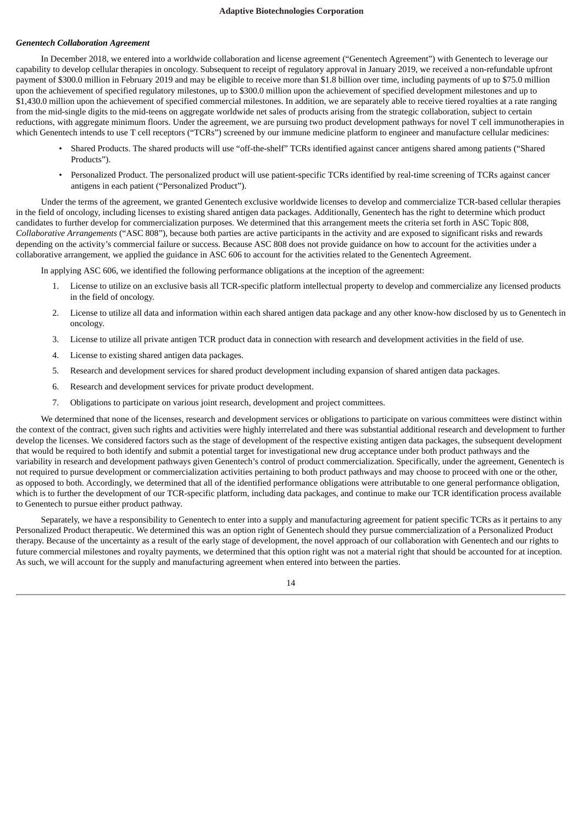#### *Genentech Collaboration Agreement*

In December 2018, we entered into a worldwide collaboration and license agreement ("Genentech Agreement") with Genentech to leverage our capability to develop cellular therapies in oncology. Subsequent to receipt of regulatory approval in January 2019, we received a non-refundable upfront payment of \$300.0 million in February 2019 and may be eligible to receive more than \$1.8 billion over time, including payments of up to \$75.0 million upon the achievement of specified regulatory milestones, up to \$300.0 million upon the achievement of specified development milestones and up to \$1,430.0 million upon the achievement of specified commercial milestones. In addition, we are separately able to receive tiered royalties at a rate ranging from the mid-single digits to the mid-teens on aggregate worldwide net sales of products arising from the strategic collaboration, subject to certain reductions, with aggregate minimum floors. Under the agreement, we are pursuing two product development pathways for novel T cell immunotherapies in which Genentech intends to use T cell receptors ("TCRs") screened by our immune medicine platform to engineer and manufacture cellular medicines:

- Shared Products. The shared products will use "off-the-shelf" TCRs identified against cancer antigens shared among patients ("Shared Products").
- Personalized Product. The personalized product will use patient-specific TCRs identified by real-time screening of TCRs against cancer antigens in each patient ("Personalized Product").

Under the terms of the agreement, we granted Genentech exclusive worldwide licenses to develop and commercialize TCR-based cellular therapies in the field of oncology, including licenses to existing shared antigen data packages. Additionally, Genentech has the right to determine which product candidates to further develop for commercialization purposes. We determined that this arrangement meets the criteria set forth in ASC Topic 808, *Collaborative Arrangements* ("ASC 808"), because both parties are active participants in the activity and are exposed to significant risks and rewards depending on the activity's commercial failure or success. Because ASC 808 does not provide guidance on how to account for the activities under a collaborative arrangement, we applied the guidance in ASC 606 to account for the activities related to the Genentech Agreement.

In applying ASC 606, we identified the following performance obligations at the inception of the agreement:

- 1. License to utilize on an exclusive basis all TCR-specific platform intellectual property to develop and commercialize any licensed products in the field of oncology.
- 2. License to utilize all data and information within each shared antigen data package and any other know-how disclosed by us to Genentech in oncology.
- 3. License to utilize all private antigen TCR product data in connection with research and development activities in the field of use.
- 4. License to existing shared antigen data packages.
- 5. Research and development services for shared product development including expansion of shared antigen data packages.
- 6. Research and development services for private product development.
- 7. Obligations to participate on various joint research, development and project committees.

We determined that none of the licenses, research and development services or obligations to participate on various committees were distinct within the context of the contract, given such rights and activities were highly interrelated and there was substantial additional research and development to further develop the licenses. We considered factors such as the stage of development of the respective existing antigen data packages, the subsequent development that would be required to both identify and submit a potential target for investigational new drug acceptance under both product pathways and the variability in research and development pathways given Genentech's control of product commercialization. Specifically, under the agreement, Genentech is not required to pursue development or commercialization activities pertaining to both product pathways and may choose to proceed with one or the other, as opposed to both. Accordingly, we determined that all of the identified performance obligations were attributable to one general performance obligation, which is to further the development of our TCR-specific platform, including data packages, and continue to make our TCR identification process available to Genentech to pursue either product pathway.

Separately, we have a responsibility to Genentech to enter into a supply and manufacturing agreement for patient specific TCRs as it pertains to any Personalized Product therapeutic. We determined this was an option right of Genentech should they pursue commercialization of a Personalized Product therapy. Because of the uncertainty as a result of the early stage of development, the novel approach of our collaboration with Genentech and our rights to future commercial milestones and royalty payments, we determined that this option right was not a material right that should be accounted for at inception. As such, we will account for the supply and manufacturing agreement when entered into between the parties.

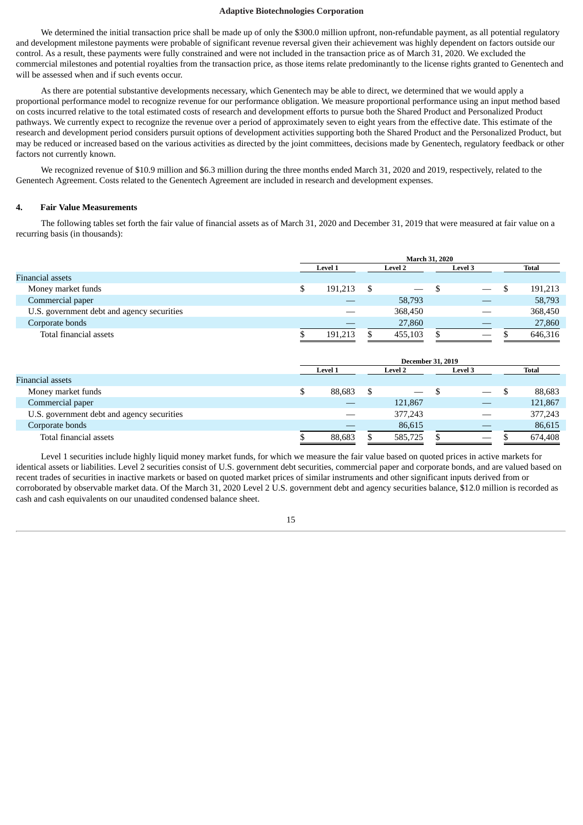We determined the initial transaction price shall be made up of only the \$300.0 million upfront, non-refundable payment, as all potential regulatory and development milestone payments were probable of significant revenue reversal given their achievement was highly dependent on factors outside our control. As a result, these payments were fully constrained and were not included in the transaction price as of March 31, 2020. We excluded the commercial milestones and potential royalties from the transaction price, as those items relate predominantly to the license rights granted to Genentech and will be assessed when and if such events occur.

As there are potential substantive developments necessary, which Genentech may be able to direct, we determined that we would apply a proportional performance model to recognize revenue for our performance obligation. We measure proportional performance using an input method based on costs incurred relative to the total estimated costs of research and development efforts to pursue both the Shared Product and Personalized Product pathways. We currently expect to recognize the revenue over a period of approximately seven to eight years from the effective date. This estimate of the research and development period considers pursuit options of development activities supporting both the Shared Product and the Personalized Product, but may be reduced or increased based on the various activities as directed by the joint committees, decisions made by Genentech, regulatory feedback or other factors not currently known.

We recognized revenue of \$10.9 million and \$6.3 million during the three months ended March 31, 2020 and 2019, respectively, related to the Genentech Agreement. Costs related to the Genentech Agreement are included in research and development expenses.

# **4. Fair Value Measurements**

The following tables set forth the fair value of financial assets as of March 31, 2020 and December 31, 2019 that were measured at fair value on a recurring basis (in thousands):

|                                            | <b>March 31, 2020</b> |         |  |                          |  |         |  |              |
|--------------------------------------------|-----------------------|---------|--|--------------------------|--|---------|--|--------------|
|                                            |                       | Level 1 |  | <b>Level 2</b>           |  | Level 3 |  | <b>Total</b> |
| Financial assets                           |                       |         |  |                          |  |         |  |              |
| Money market funds                         |                       | 191,213 |  | $\overline{\phantom{a}}$ |  |         |  | 191,213      |
| Commercial paper                           |                       |         |  | 58,793                   |  |         |  | 58,793       |
| U.S. government debt and agency securities |                       |         |  | 368,450                  |  |         |  | 368,450      |
| Corporate bonds                            |                       |         |  | 27,860                   |  |         |  | 27,860       |
| Total financial assets                     |                       | 191.213 |  | 455.103                  |  |         |  | 646,316      |

|                                            | <b>December 31, 2019</b> |        |                |         |         |  |  |         |  |
|--------------------------------------------|--------------------------|--------|----------------|---------|---------|--|--|---------|--|
|                                            | <b>Level 1</b>           |        | <b>Level 2</b> |         | Level 3 |  |  | Total   |  |
| Financial assets                           |                          |        |                |         |         |  |  |         |  |
| Money market funds                         |                          | 88,683 |                |         |         |  |  | 88,683  |  |
| Commercial paper                           |                          |        |                | 121,867 |         |  |  | 121,867 |  |
| U.S. government debt and agency securities |                          |        |                | 377,243 |         |  |  | 377,243 |  |
| Corporate bonds                            |                          |        |                | 86,615  |         |  |  | 86,615  |  |
| Total financial assets                     |                          | 88,683 |                | 585,725 |         |  |  | 674,408 |  |

Level 1 securities include highly liquid money market funds, for which we measure the fair value based on quoted prices in active markets for identical assets or liabilities. Level 2 securities consist of U.S. government debt securities, commercial paper and corporate bonds, and are valued based on recent trades of securities in inactive markets or based on quoted market prices of similar instruments and other significant inputs derived from or corroborated by observable market data. Of the March 31, 2020 Level 2 U.S. government debt and agency securities balance, \$12.0 million is recorded as cash and cash equivalents on our unaudited condensed balance sheet.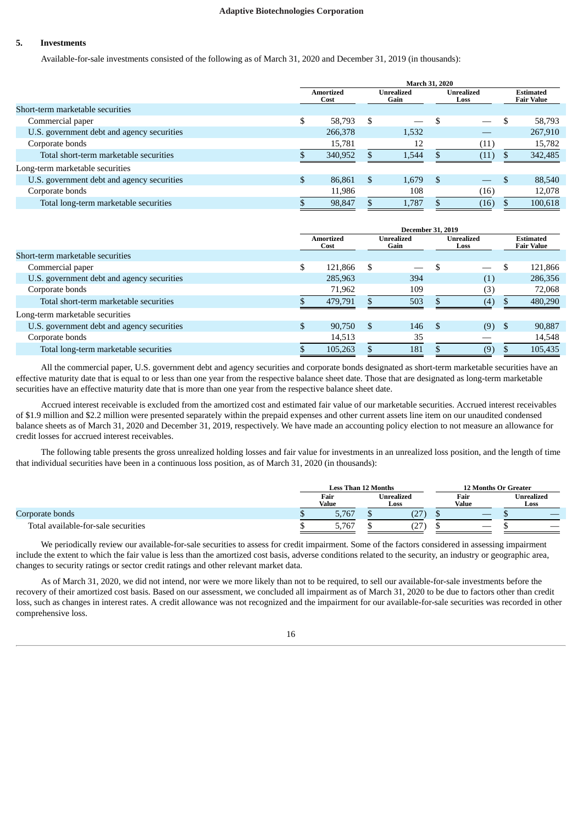### **5. Investments**

Available-for-sale investments consisted of the following as of March 31, 2020 and December 31, 2019 (in thousands):

|                                            | <b>March 31, 2020</b>                          |         |                           |       |      |                                       |  |         |
|--------------------------------------------|------------------------------------------------|---------|---------------------------|-------|------|---------------------------------------|--|---------|
|                                            | <b>Amortized</b><br>Unrealized<br>Gain<br>Cost |         | <b>Unrealized</b><br>Loss |       |      | <b>Estimated</b><br><b>Fair Value</b> |  |         |
| Short-term marketable securities           |                                                |         |                           |       |      |                                       |  |         |
| Commercial paper                           | \$                                             | 58,793  | S                         |       |      | $\overline{\phantom{0}}$              |  | 58,793  |
| U.S. government debt and agency securities |                                                | 266,378 |                           | 1,532 |      |                                       |  | 267,910 |
| Corporate bonds                            |                                                | 15,781  |                           | 12    |      | (11)                                  |  | 15,782  |
| Total short-term marketable securities     |                                                | 340,952 |                           | 1,544 |      | (11                                   |  | 342,485 |
| Long-term marketable securities            |                                                |         |                           |       |      |                                       |  |         |
| U.S. government debt and agency securities | \$                                             | 86.861  | <sup>\$</sup>             | 1.679 | - \$ |                                       |  | 88,540  |
| Corporate bonds                            |                                                | 11,986  |                           | 108   |      | (16)                                  |  | 12,078  |
| Total long-term marketable securities      |                                                | 98,847  |                           | 1,787 |      | (16)                                  |  | 100,618 |

|                                            | <b>December 31, 2019</b> |                          |     |                    |      |                           |      |                                       |
|--------------------------------------------|--------------------------|--------------------------|-----|--------------------|------|---------------------------|------|---------------------------------------|
|                                            |                          | <b>Amortized</b><br>Cost |     | Unrealized<br>Gain |      | <b>Unrealized</b><br>Loss |      | <b>Estimated</b><br><b>Fair Value</b> |
| Short-term marketable securities           |                          |                          |     |                    |      |                           |      |                                       |
| Commercial paper                           | \$                       | 121.866                  | \$. |                    |      |                           |      | 121,866                               |
| U.S. government debt and agency securities |                          | 285,963                  |     | 394                |      | (1)                       |      | 286,356                               |
| Corporate bonds                            |                          | 71,962                   |     | 109                |      | (3)                       |      | 72,068                                |
| Total short-term marketable securities     |                          | 479,791                  |     | 503                |      | (4)                       |      | 480,290                               |
| Long-term marketable securities            |                          |                          |     |                    |      |                           |      |                                       |
| U.S. government debt and agency securities | \$                       | 90,750                   | \$  | 146                | - \$ | (9)                       | - \$ | 90,887                                |
| Corporate bonds                            |                          | 14,513                   |     | 35                 |      |                           |      | 14,548                                |
| Total long-term marketable securities      |                          | 105,263                  |     | 181                |      | (9)                       |      | 105,435                               |

All the commercial paper, U.S. government debt and agency securities and corporate bonds designated as short-term marketable securities have an effective maturity date that is equal to or less than one year from the respective balance sheet date. Those that are designated as long-term marketable securities have an effective maturity date that is more than one year from the respective balance sheet date.

Accrued interest receivable is excluded from the amortized cost and estimated fair value of our marketable securities. Accrued interest receivables of \$1.9 million and \$2.2 million were presented separately within the prepaid expenses and other current assets line item on our unaudited condensed balance sheets as of March 31, 2020 and December 31, 2019, respectively. We have made an accounting policy election to not measure an allowance for credit losses for accrued interest receivables.

The following table presents the gross unrealized holding losses and fair value for investments in an unrealized loss position, and the length of time that individual securities have been in a continuous loss position, as of March 31, 2020 (in thousands):

|                                     | <b>Less Than 12 Months</b> |  |                    | <b>12 Months Or Greater</b> |                    |  |
|-------------------------------------|----------------------------|--|--------------------|-----------------------------|--------------------|--|
|                                     | Fair<br>Value              |  | Unrealized<br>Loss | Fair<br>Value               | Unrealized<br>Loss |  |
| Corporate bonds                     | 5,767                      |  | .                  |                             |                    |  |
| Total available-for-sale securities | 5.767                      |  | . <u>.</u>         |                             | _                  |  |

We periodically review our available-for-sale securities to assess for credit impairment. Some of the factors considered in assessing impairment include the extent to which the fair value is less than the amortized cost basis, adverse conditions related to the security, an industry or geographic area, changes to security ratings or sector credit ratings and other relevant market data.

As of March 31, 2020, we did not intend, nor were we more likely than not to be required, to sell our available-for-sale investments before the recovery of their amortized cost basis. Based on our assessment, we concluded all impairment as of March 31, 2020 to be due to factors other than credit loss, such as changes in interest rates. A credit allowance was not recognized and the impairment for our available-for-sale securities was recorded in other comprehensive loss.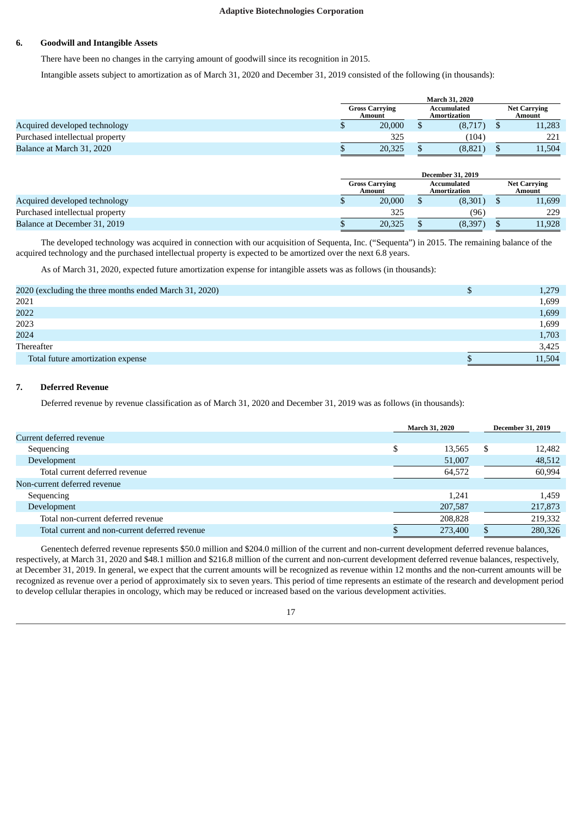# **6. Goodwill and Intangible Assets**

There have been no changes in the carrying amount of goodwill since its recognition in 2015.

Intangible assets subject to amortization as of March 31, 2020 and December 31, 2019 consisted of the following (in thousands):

|                                 | <b>March 31, 2020</b>           |        |                             |          |  |                               |
|---------------------------------|---------------------------------|--------|-----------------------------|----------|--|-------------------------------|
|                                 | <b>Gross Carrying</b><br>Amount |        | Accumulated<br>Amortization |          |  | <b>Net Carrying</b><br>Amount |
| Acquired developed technology   | Φ                               | 20,000 |                             | (8,717)  |  | 11,283                        |
| Purchased intellectual property |                                 | 325    |                             | (104)    |  | 221                           |
| Balance at March 31, 2020       |                                 | 20,325 |                             | (8, 821) |  | 11.504                        |

|                                 |                                 | <b>December 31, 2019</b>    |                               |
|---------------------------------|---------------------------------|-----------------------------|-------------------------------|
|                                 | <b>Gross Carrying</b><br>Amount | Accumulated<br>Amortization | <b>Net Carrying</b><br>Amount |
| Acquired developed technology   | 20,000                          | (8, 301)                    | 11,699                        |
| Purchased intellectual property | 325                             | (96)                        | 229                           |
| Balance at December 31, 2019    | 20,325                          | (8, 397)                    | 11,928                        |

The developed technology was acquired in connection with our acquisition of Sequenta, Inc. ("Sequenta") in 2015. The remaining balance of the acquired technology and the purchased intellectual property is expected to be amortized over the next 6.8 years.

As of March 31, 2020, expected future amortization expense for intangible assets was as follows (in thousands):

| 2020 (excluding the three months ended March 31, 2020) | D | 1,279  |
|--------------------------------------------------------|---|--------|
| 2021                                                   |   | 1,699  |
| 2022                                                   |   | 1,699  |
| 2023                                                   |   | 1,699  |
| 2024                                                   |   | 1,703  |
| Thereafter                                             |   | 3,425  |
| Total future amortization expense                      |   | 11.504 |

# **7. Deferred Revenue**

Deferred revenue by revenue classification as of March 31, 2020 and December 31, 2019 was as follows (in thousands):

|                                                | <b>March 31, 2020</b> |   | <b>December 31, 2019</b> |
|------------------------------------------------|-----------------------|---|--------------------------|
| Current deferred revenue                       |                       |   |                          |
| Sequencing                                     | \$<br>13,565          | S | 12,482                   |
| Development                                    | 51,007                |   | 48,512                   |
| Total current deferred revenue                 | 64,572                |   | 60,994                   |
| Non-current deferred revenue                   |                       |   |                          |
| Sequencing                                     | 1,241                 |   | 1,459                    |
| Development                                    | 207,587               |   | 217,873                  |
| Total non-current deferred revenue             | 208,828               |   | 219,332                  |
| Total current and non-current deferred revenue | 273,400               |   | 280,326                  |

Genentech deferred revenue represents \$50.0 million and \$204.0 million of the current and non-current development deferred revenue balances, respectively, at March 31, 2020 and \$48.1 million and \$216.8 million of the current and non-current development deferred revenue balances, respectively, at December 31, 2019. In general, we expect that the current amounts will be recognized as revenue within 12 months and the non-current amounts will be recognized as revenue over a period of approximately six to seven years. This period of time represents an estimate of the research and development period to develop cellular therapies in oncology, which may be reduced or increased based on the various development activities.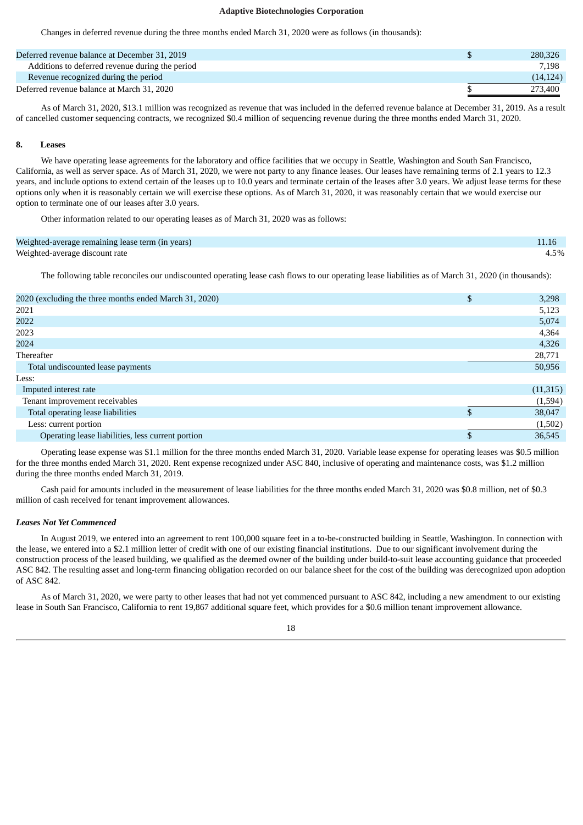Changes in deferred revenue during the three months ended March 31, 2020 were as follows (in thousands):

| Deferred revenue balance at December 31, 2019   | 280,326   |
|-------------------------------------------------|-----------|
| Additions to deferred revenue during the period | 7.198     |
| Revenue recognized during the period            | (14, 124) |
| Deferred revenue balance at March 31, 2020      | 273,400   |

As of March 31, 2020, \$13.1 million was recognized as revenue that was included in the deferred revenue balance at December 31, 2019. As a result of cancelled customer sequencing contracts, we recognized \$0.4 million of sequencing revenue during the three months ended March 31, 2020.

### **8. Leases**

We have operating lease agreements for the laboratory and office facilities that we occupy in Seattle, Washington and South San Francisco, California, as well as server space. As of March 31, 2020, we were not party to any finance leases. Our leases have remaining terms of 2.1 years to 12.3 years, and include options to extend certain of the leases up to 10.0 years and terminate certain of the leases after 3.0 years. We adjust lease terms for these options only when it is reasonably certain we will exercise these options. As of March 31, 2020, it was reasonably certain that we would exercise our option to terminate one of our leases after 3.0 years.

Other information related to our operating leases as of March 31, 2020 was as follows:

| Weighted-average remaining lease term (in years) |      |
|--------------------------------------------------|------|
| Weighted-average discount rate                   | 4.5% |

The following table reconciles our undiscounted operating lease cash flows to our operating lease liabilities as of March 31, 2020 (in thousands):

| 2020 (excluding the three months ended March 31, 2020) | \$  | 3,298    |
|--------------------------------------------------------|-----|----------|
| 2021                                                   |     | 5,123    |
| 2022                                                   |     | 5,074    |
| 2023                                                   |     | 4,364    |
| 2024                                                   |     | 4,326    |
| Thereafter                                             |     | 28,771   |
| Total undiscounted lease payments                      |     | 50,956   |
| Less:                                                  |     |          |
| Imputed interest rate                                  |     | (11,315) |
| Tenant improvement receivables                         |     | (1,594)  |
| Total operating lease liabilities                      | \$. | 38,047   |
| Less: current portion                                  |     | (1,502)  |
| Operating lease liabilities, less current portion      |     | 36,545   |
|                                                        |     |          |

Operating lease expense was \$1.1 million for the three months ended March 31, 2020. Variable lease expense for operating leases was \$0.5 million for the three months ended March 31, 2020. Rent expense recognized under ASC 840, inclusive of operating and maintenance costs, was \$1.2 million during the three months ended March 31, 2019.

Cash paid for amounts included in the measurement of lease liabilities for the three months ended March 31, 2020 was \$0.8 million, net of \$0.3 million of cash received for tenant improvement allowances.

### *Leases Not Yet Commenced*

In August 2019, we entered into an agreement to rent 100,000 square feet in a to-be-constructed building in Seattle, Washington. In connection with the lease, we entered into a \$2.1 million letter of credit with one of our existing financial institutions. Due to our significant involvement during the construction process of the leased building, we qualified as the deemed owner of the building under build-to-suit lease accounting guidance that proceeded ASC 842. The resulting asset and long-term financing obligation recorded on our balance sheet for the cost of the building was derecognized upon adoption of ASC 842.

As of March 31, 2020, we were party to other leases that had not yet commenced pursuant to ASC 842, including a new amendment to our existing lease in South San Francisco, California to rent 19,867 additional square feet, which provides for a \$0.6 million tenant improvement allowance.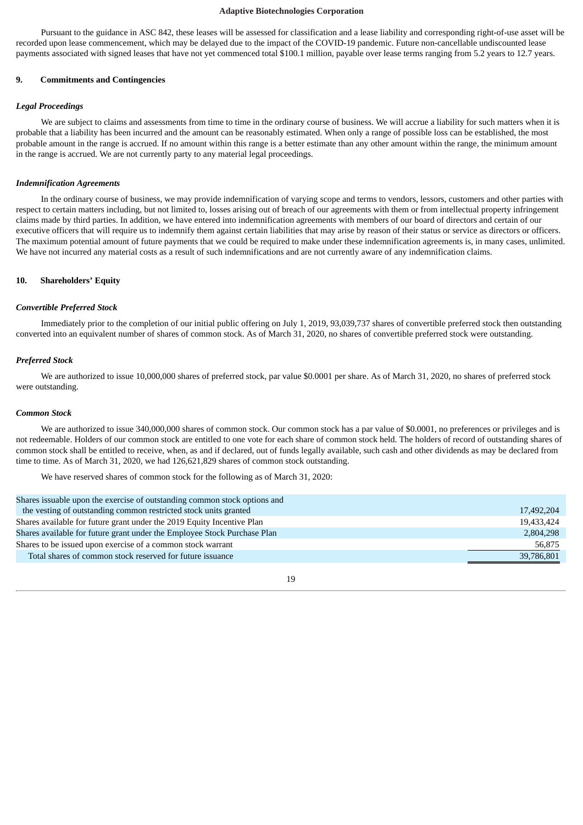Pursuant to the guidance in ASC 842, these leases will be assessed for classification and a lease liability and corresponding right-of-use asset will be recorded upon lease commencement, which may be delayed due to the impact of the COVID-19 pandemic. Future non-cancellable undiscounted lease payments associated with signed leases that have not yet commenced total \$100.1 million, payable over lease terms ranging from 5.2 years to 12.7 years.

### **9. Commitments and Contingencies**

# *Legal Proceedings*

We are subject to claims and assessments from time to time in the ordinary course of business. We will accrue a liability for such matters when it is probable that a liability has been incurred and the amount can be reasonably estimated. When only a range of possible loss can be established, the most probable amount in the range is accrued. If no amount within this range is a better estimate than any other amount within the range, the minimum amount in the range is accrued. We are not currently party to any material legal proceedings.

## *Indemnification Agreements*

In the ordinary course of business, we may provide indemnification of varying scope and terms to vendors, lessors, customers and other parties with respect to certain matters including, but not limited to, losses arising out of breach of our agreements with them or from intellectual property infringement claims made by third parties. In addition, we have entered into indemnification agreements with members of our board of directors and certain of our executive officers that will require us to indemnify them against certain liabilities that may arise by reason of their status or service as directors or officers. The maximum potential amount of future payments that we could be required to make under these indemnification agreements is, in many cases, unlimited. We have not incurred any material costs as a result of such indemnifications and are not currently aware of any indemnification claims.

# **10. Shareholders' Equity**

## *Convertible Preferred Stock*

Immediately prior to the completion of our initial public offering on July 1, 2019, 93,039,737 shares of convertible preferred stock then outstanding converted into an equivalent number of shares of common stock. As of March 31, 2020, no shares of convertible preferred stock were outstanding.

## *Preferred Stock*

We are authorized to issue 10,000,000 shares of preferred stock, par value \$0.0001 per share. As of March 31, 2020, no shares of preferred stock were outstanding.

#### *Common Stock*

We are authorized to issue 340,000,000 shares of common stock. Our common stock has a par value of \$0.0001, no preferences or privileges and is not redeemable. Holders of our common stock are entitled to one vote for each share of common stock held. The holders of record of outstanding shares of common stock shall be entitled to receive, when, as and if declared, out of funds legally available, such cash and other dividends as may be declared from time to time. As of March 31, 2020, we had 126,621,829 shares of common stock outstanding.

We have reserved shares of common stock for the following as of March 31, 2020:

| Shares issuable upon the exercise of outstanding common stock options and |            |
|---------------------------------------------------------------------------|------------|
| the vesting of outstanding common restricted stock units granted          | 17,492,204 |
| Shares available for future grant under the 2019 Equity Incentive Plan    | 19,433,424 |
| Shares available for future grant under the Employee Stock Purchase Plan  | 2,804,298  |
| Shares to be issued upon exercise of a common stock warrant               | 56,875     |
| Total shares of common stock reserved for future issuance                 | 39,786,801 |
|                                                                           |            |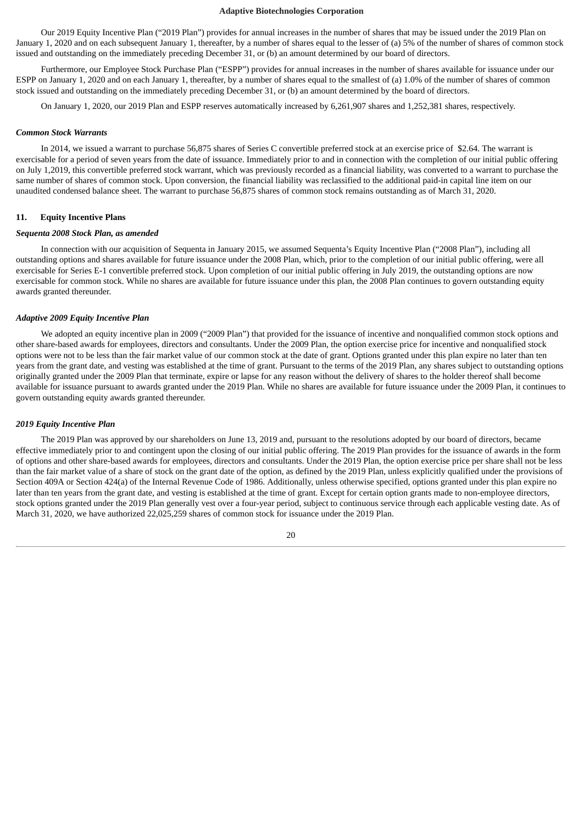Our 2019 Equity Incentive Plan ("2019 Plan") provides for annual increases in the number of shares that may be issued under the 2019 Plan on January 1, 2020 and on each subsequent January 1, thereafter, by a number of shares equal to the lesser of (a) 5% of the number of shares of common stock issued and outstanding on the immediately preceding December 31, or (b) an amount determined by our board of directors.

Furthermore, our Employee Stock Purchase Plan ("ESPP") provides for annual increases in the number of shares available for issuance under our ESPP on January 1, 2020 and on each January 1, thereafter, by a number of shares equal to the smallest of (a) 1.0% of the number of shares of common stock issued and outstanding on the immediately preceding December 31, or (b) an amount determined by the board of directors.

On January 1, 2020, our 2019 Plan and ESPP reserves automatically increased by 6,261,907 shares and 1,252,381 shares, respectively.

#### *Common Stock Warrants*

In 2014, we issued a warrant to purchase 56,875 shares of Series C convertible preferred stock at an exercise price of \$2.64. The warrant is exercisable for a period of seven years from the date of issuance. Immediately prior to and in connection with the completion of our initial public offering on July 1,2019, this convertible preferred stock warrant, which was previously recorded as a financial liability, was converted to a warrant to purchase the same number of shares of common stock. Upon conversion, the financial liability was reclassified to the additional paid-in capital line item on our unaudited condensed balance sheet. The warrant to purchase 56,875 shares of common stock remains outstanding as of March 31, 2020.

#### **11. Equity Incentive Plans**

### *Sequenta 2008 Stock Plan, as amended*

In connection with our acquisition of Sequenta in January 2015, we assumed Sequenta's Equity Incentive Plan ("2008 Plan"), including all outstanding options and shares available for future issuance under the 2008 Plan, which, prior to the completion of our initial public offering, were all exercisable for Series E-1 convertible preferred stock. Upon completion of our initial public offering in July 2019, the outstanding options are now exercisable for common stock. While no shares are available for future issuance under this plan, the 2008 Plan continues to govern outstanding equity awards granted thereunder.

#### *Adaptive 2009 Equity Incentive Plan*

We adopted an equity incentive plan in 2009 ("2009 Plan") that provided for the issuance of incentive and nonqualified common stock options and other share-based awards for employees, directors and consultants. Under the 2009 Plan, the option exercise price for incentive and nonqualified stock options were not to be less than the fair market value of our common stock at the date of grant. Options granted under this plan expire no later than ten years from the grant date, and vesting was established at the time of grant. Pursuant to the terms of the 2019 Plan, any shares subject to outstanding options originally granted under the 2009 Plan that terminate, expire or lapse for any reason without the delivery of shares to the holder thereof shall become available for issuance pursuant to awards granted under the 2019 Plan. While no shares are available for future issuance under the 2009 Plan, it continues to govern outstanding equity awards granted thereunder.

#### *2019 Equity Incentive Plan*

The 2019 Plan was approved by our shareholders on June 13, 2019 and, pursuant to the resolutions adopted by our board of directors, became effective immediately prior to and contingent upon the closing of our initial public offering. The 2019 Plan provides for the issuance of awards in the form of options and other share-based awards for employees, directors and consultants. Under the 2019 Plan, the option exercise price per share shall not be less than the fair market value of a share of stock on the grant date of the option, as defined by the 2019 Plan, unless explicitly qualified under the provisions of Section 409A or Section 424(a) of the Internal Revenue Code of 1986. Additionally, unless otherwise specified, options granted under this plan expire no later than ten years from the grant date, and vesting is established at the time of grant. Except for certain option grants made to non-employee directors, stock options granted under the 2019 Plan generally vest over a four-year period, subject to continuous service through each applicable vesting date. As of March 31, 2020, we have authorized 22,025,259 shares of common stock for issuance under the 2019 Plan.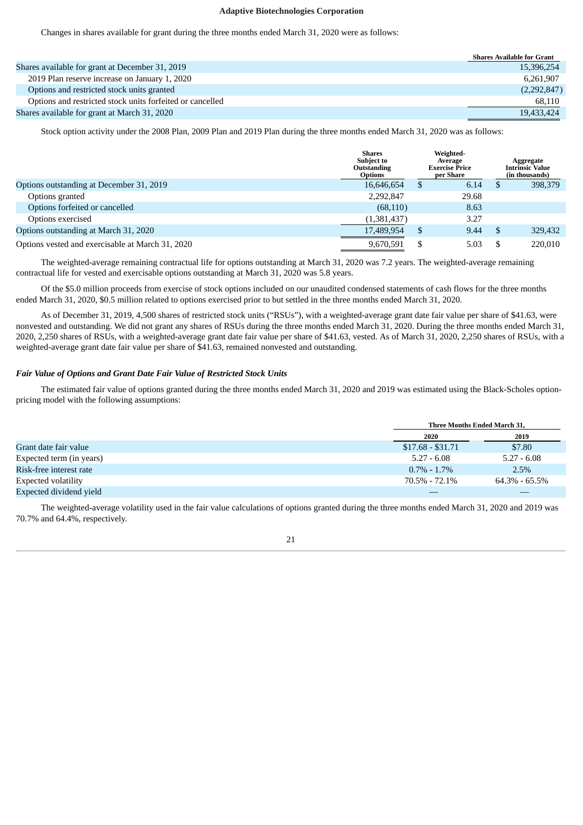Changes in shares available for grant during the three months ended March 31, 2020 were as follows:

|                                                           | <b>Shares Available for Grant</b> |
|-----------------------------------------------------------|-----------------------------------|
| Shares available for grant at December 31, 2019           | 15,396,254                        |
| 2019 Plan reserve increase on January 1, 2020             | 6.261.907                         |
| Options and restricted stock units granted                | (2,292,847)                       |
| Options and restricted stock units forfeited or cancelled | 68,110                            |
| Shares available for grant at March 31, 2020              | 19,433,424                        |

Stock option activity under the 2008 Plan, 2009 Plan and 2019 Plan during the three months ended March 31, 2020 was as follows:

|                                                  | <b>Shares</b><br><b>Subject to</b><br>Outstanding<br><b>Options</b> | Weighted-<br>Average<br><b>Exercise Price</b><br>per Share |   | Aggregate<br><b>Intrinsic Value</b><br>(in thousands) |
|--------------------------------------------------|---------------------------------------------------------------------|------------------------------------------------------------|---|-------------------------------------------------------|
| Options outstanding at December 31, 2019         | 16,646,654                                                          | 6.14                                                       |   | 398,379                                               |
| Options granted                                  | 2,292,847                                                           | 29.68                                                      |   |                                                       |
| Options forfeited or cancelled                   | (68, 110)                                                           | 8.63                                                       |   |                                                       |
| Options exercised                                | (1,381,437)                                                         | 3.27                                                       |   |                                                       |
| Options outstanding at March 31, 2020            | 17,489,954                                                          | 9.44                                                       | S | 329,432                                               |
| Options vested and exercisable at March 31, 2020 | 9,670,591                                                           | 5.03                                                       |   | 220,010                                               |

The weighted-average remaining contractual life for options outstanding at March 31, 2020 was 7.2 years. The weighted-average remaining contractual life for vested and exercisable options outstanding at March 31, 2020 was 5.8 years.

Of the \$5.0 million proceeds from exercise of stock options included on our unaudited condensed statements of cash flows for the three months ended March 31, 2020, \$0.5 million related to options exercised prior to but settled in the three months ended March 31, 2020.

As of December 31, 2019, 4,500 shares of restricted stock units ("RSUs"), with a weighted-average grant date fair value per share of \$41.63, were nonvested and outstanding. We did not grant any shares of RSUs during the three months ended March 31, 2020. During the three months ended March 31, 2020, 2,250 shares of RSUs, with a weighted-average grant date fair value per share of \$41.63, vested. As of March 31, 2020, 2,250 shares of RSUs, with a weighted-average grant date fair value per share of \$41.63, remained nonvested and outstanding.

# *Fair Value of Options and Grant Date Fair Value of Restricted Stock Units*

The estimated fair value of options granted during the three months ended March 31, 2020 and 2019 was estimated using the Black-Scholes optionpricing model with the following assumptions:

|                          | <b>Three Months Ended March 31.</b> |               |
|--------------------------|-------------------------------------|---------------|
|                          | 2020                                | 2019          |
| Grant date fair value    | $$17.68 - $31.71$                   | \$7.80        |
| Expected term (in years) | $5.27 - 6.08$                       | $5.27 - 6.08$ |
| Risk-free interest rate  | $0.7\%$ - 1.7%                      | $2.5\%$       |
| Expected volatility      | 70.5% - 72.1%                       | 64.3% - 65.5% |
| Expected dividend yield  |                                     |               |

The weighted-average volatility used in the fair value calculations of options granted during the three months ended March 31, 2020 and 2019 was 70.7% and 64.4%, respectively.

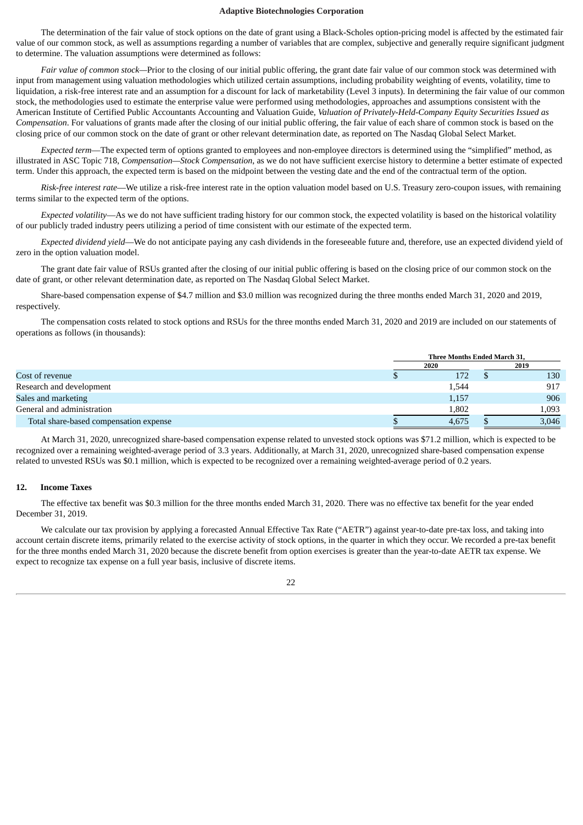The determination of the fair value of stock options on the date of grant using a Black-Scholes option-pricing model is affected by the estimated fair value of our common stock, as well as assumptions regarding a number of variables that are complex, subjective and generally require significant judgment to determine. The valuation assumptions were determined as follows:

*Fair value of common stock—*Prior to the closing of our initial public offering, the grant date fair value of our common stock was determined with input from management using valuation methodologies which utilized certain assumptions, including probability weighting of events, volatility, time to liquidation, a risk-free interest rate and an assumption for a discount for lack of marketability (Level 3 inputs). In determining the fair value of our common stock, the methodologies used to estimate the enterprise value were performed using methodologies, approaches and assumptions consistent with the American Institute of Certified Public Accountants Accounting and Valuation Guide, *Valuation of Privately-Held-Company Equity Securities Issued as Compensation*. For valuations of grants made after the closing of our initial public offering, the fair value of each share of common stock is based on the closing price of our common stock on the date of grant or other relevant determination date, as reported on The Nasdaq Global Select Market.

*Expected term*—The expected term of options granted to employees and non-employee directors is determined using the "simplified" method, as illustrated in ASC Topic 718, *Compensation—Stock Compensation*, as we do not have sufficient exercise history to determine a better estimate of expected term. Under this approach, the expected term is based on the midpoint between the vesting date and the end of the contractual term of the option.

*Risk-free interest rate*—We utilize a risk-free interest rate in the option valuation model based on U.S. Treasury zero-coupon issues, with remaining terms similar to the expected term of the options.

*Expected volatility*—As we do not have sufficient trading history for our common stock, the expected volatility is based on the historical volatility of our publicly traded industry peers utilizing a period of time consistent with our estimate of the expected term.

*Expected dividend yield*—We do not anticipate paying any cash dividends in the foreseeable future and, therefore, use an expected dividend yield of zero in the option valuation model.

The grant date fair value of RSUs granted after the closing of our initial public offering is based on the closing price of our common stock on the date of grant, or other relevant determination date, as reported on The Nasdaq Global Select Market.

Share-based compensation expense of \$4.7 million and \$3.0 million was recognized during the three months ended March 31, 2020 and 2019, respectively.

The compensation costs related to stock options and RSUs for the three months ended March 31, 2020 and 2019 are included on our statements of operations as follows (in thousands):

|                                        | <b>Three Months Ended March 31.</b> |  |       |  |  |  |  |
|----------------------------------------|-------------------------------------|--|-------|--|--|--|--|
|                                        | 2020                                |  | 2019  |  |  |  |  |
| Cost of revenue                        | 172                                 |  | 130   |  |  |  |  |
| Research and development               | 1,544                               |  | 917   |  |  |  |  |
| Sales and marketing                    | 1,157                               |  | 906   |  |  |  |  |
| General and administration             | 1,802                               |  | 1,093 |  |  |  |  |
| Total share-based compensation expense | 4,675                               |  | 3,046 |  |  |  |  |

At March 31, 2020, unrecognized share-based compensation expense related to unvested stock options was \$71.2 million, which is expected to be recognized over a remaining weighted-average period of 3.3 years. Additionally, at March 31, 2020, unrecognized share-based compensation expense related to unvested RSUs was \$0.1 million, which is expected to be recognized over a remaining weighted-average period of 0.2 years.

# **12. Income Taxes**

The effective tax benefit was \$0.3 million for the three months ended March 31, 2020. There was no effective tax benefit for the year ended December 31, 2019.

We calculate our tax provision by applying a forecasted Annual Effective Tax Rate ("AETR") against year-to-date pre-tax loss, and taking into account certain discrete items, primarily related to the exercise activity of stock options, in the quarter in which they occur. We recorded a pre-tax benefit for the three months ended March 31, 2020 because the discrete benefit from option exercises is greater than the year-to-date AETR tax expense. We expect to recognize tax expense on a full year basis, inclusive of discrete items.

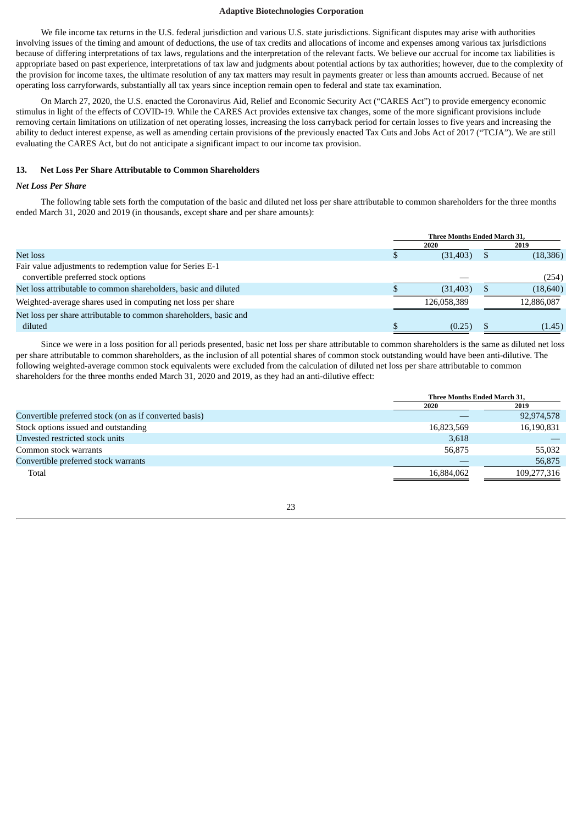We file income tax returns in the U.S. federal jurisdiction and various U.S. state jurisdictions. Significant disputes may arise with authorities involving issues of the timing and amount of deductions, the use of tax credits and allocations of income and expenses among various tax jurisdictions because of differing interpretations of tax laws, regulations and the interpretation of the relevant facts. We believe our accrual for income tax liabilities is appropriate based on past experience, interpretations of tax law and judgments about potential actions by tax authorities; however, due to the complexity of the provision for income taxes, the ultimate resolution of any tax matters may result in payments greater or less than amounts accrued. Because of net operating loss carryforwards, substantially all tax years since inception remain open to federal and state tax examination.

On March 27, 2020, the U.S. enacted the Coronavirus Aid, Relief and Economic Security Act ("CARES Act") to provide emergency economic stimulus in light of the effects of COVID-19. While the CARES Act provides extensive tax changes, some of the more significant provisions include removing certain limitations on utilization of net operating losses, increasing the loss carryback period for certain losses to five years and increasing the ability to deduct interest expense, as well as amending certain provisions of the previously enacted Tax Cuts and Jobs Act of 2017 ("TCJA"). We are still evaluating the CARES Act, but do not anticipate a significant impact to our income tax provision.

### **13. Net Loss Per Share Attributable to Common Shareholders**

#### *Net Loss Per Share*

The following table sets forth the computation of the basic and diluted net loss per share attributable to common shareholders for the three months ended March 31, 2020 and 2019 (in thousands, except share and per share amounts):

|                                                                                                  | <b>Three Months Ended March 31.</b> |  |            |  |  |  |  |  |
|--------------------------------------------------------------------------------------------------|-------------------------------------|--|------------|--|--|--|--|--|
|                                                                                                  | 2020                                |  | 2019       |  |  |  |  |  |
| Net loss                                                                                         | (31, 403)                           |  | (18, 386)  |  |  |  |  |  |
| Fair value adjustments to redemption value for Series E-1<br>convertible preferred stock options |                                     |  | (254)      |  |  |  |  |  |
| Net loss attributable to common shareholders, basic and diluted                                  | (31, 403)                           |  | (18, 640)  |  |  |  |  |  |
| Weighted-average shares used in computing net loss per share                                     | 126,058,389                         |  | 12,886,087 |  |  |  |  |  |
| Net loss per share attributable to common shareholders, basic and<br>diluted                     | (0.25)                              |  | (1.45)     |  |  |  |  |  |

Since we were in a loss position for all periods presented, basic net loss per share attributable to common shareholders is the same as diluted net loss per share attributable to common shareholders, as the inclusion of all potential shares of common stock outstanding would have been anti-dilutive. The following weighted-average common stock equivalents were excluded from the calculation of diluted net loss per share attributable to common shareholders for the three months ended March 31, 2020 and 2019, as they had an anti-dilutive effect:

| Three Months Ended March 31, |             |
|------------------------------|-------------|
| 2020                         | 2019        |
|                              | 92,974,578  |
| 16,823,569                   | 16,190,831  |
| 3,618                        |             |
| 56,875                       | 55,032      |
|                              | 56,875      |
| 16,884,062                   | 109,277,316 |
|                              |             |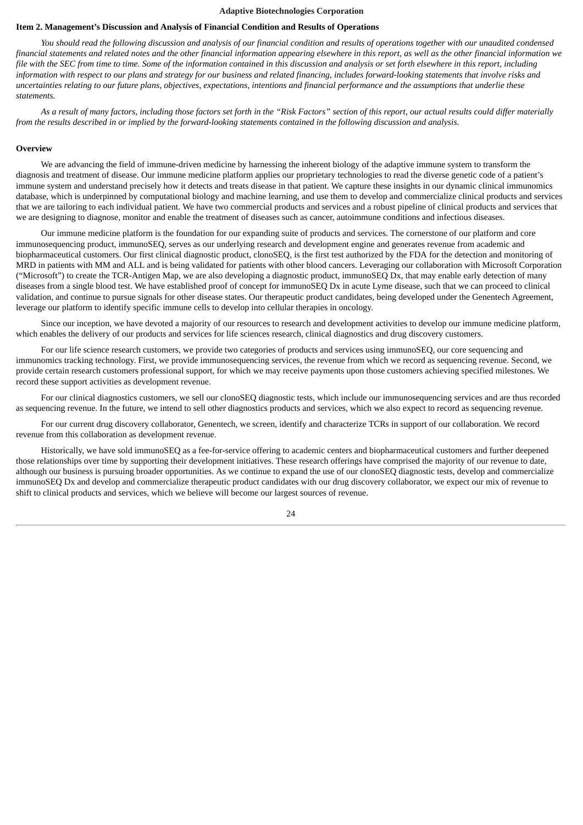## <span id="page-23-0"></span>**Item 2. Management's Discussion and Analysis of Financial Condition and Results of Operations**

You should read the following discussion and analysis of our financial condition and results of operations together with our unaudited condensed financial statements and related notes and the other financial information appearing elsewhere in this report, as well as the other financial information we file with the SEC from time to time. Some of the information contained in this discussion and analysis or set forth elsewhere in this report, including information with respect to our plans and strategy for our business and related financing, includes forward-looking statements that involve risks and uncertainties relating to our future plans, objectives, expectations, intentions and financial performance and the assumptions that underlie these *statements.*

As a result of many factors, including those factors set forth in the "Risk Factors" section of this report, our actual results could differ materially from the results described in or implied by the forward-looking statements contained in the following discussion and analysis.

#### **Overview**

We are advancing the field of immune-driven medicine by harnessing the inherent biology of the adaptive immune system to transform the diagnosis and treatment of disease. Our immune medicine platform applies our proprietary technologies to read the diverse genetic code of a patient's immune system and understand precisely how it detects and treats disease in that patient. We capture these insights in our dynamic clinical immunomics database, which is underpinned by computational biology and machine learning, and use them to develop and commercialize clinical products and services that we are tailoring to each individual patient. We have two commercial products and services and a robust pipeline of clinical products and services that we are designing to diagnose, monitor and enable the treatment of diseases such as cancer, autoimmune conditions and infectious diseases.

Our immune medicine platform is the foundation for our expanding suite of products and services. The cornerstone of our platform and core immunosequencing product, immunoSEQ, serves as our underlying research and development engine and generates revenue from academic and biopharmaceutical customers. Our first clinical diagnostic product, clonoSEQ, is the first test authorized by the FDA for the detection and monitoring of MRD in patients with MM and ALL and is being validated for patients with other blood cancers. Leveraging our collaboration with Microsoft Corporation ("Microsoft") to create the TCR-Antigen Map, we are also developing a diagnostic product, immunoSEQ Dx, that may enable early detection of many diseases from a single blood test. We have established proof of concept for immunoSEQ Dx in acute Lyme disease, such that we can proceed to clinical validation, and continue to pursue signals for other disease states. Our therapeutic product candidates, being developed under the Genentech Agreement, leverage our platform to identify specific immune cells to develop into cellular therapies in oncology.

Since our inception, we have devoted a majority of our resources to research and development activities to develop our immune medicine platform, which enables the delivery of our products and services for life sciences research, clinical diagnostics and drug discovery customers.

For our life science research customers, we provide two categories of products and services using immunoSEQ, our core sequencing and immunomics tracking technology. First, we provide immunosequencing services, the revenue from which we record as sequencing revenue. Second, we provide certain research customers professional support, for which we may receive payments upon those customers achieving specified milestones. We record these support activities as development revenue.

For our clinical diagnostics customers, we sell our clonoSEQ diagnostic tests, which include our immunosequencing services and are thus recorded as sequencing revenue. In the future, we intend to sell other diagnostics products and services, which we also expect to record as sequencing revenue.

For our current drug discovery collaborator, Genentech, we screen, identify and characterize TCRs in support of our collaboration. We record revenue from this collaboration as development revenue.

Historically, we have sold immunoSEQ as a fee-for-service offering to academic centers and biopharmaceutical customers and further deepened those relationships over time by supporting their development initiatives. These research offerings have comprised the majority of our revenue to date, although our business is pursuing broader opportunities. As we continue to expand the use of our clonoSEQ diagnostic tests, develop and commercialize immunoSEQ Dx and develop and commercialize therapeutic product candidates with our drug discovery collaborator, we expect our mix of revenue to shift to clinical products and services, which we believe will become our largest sources of revenue.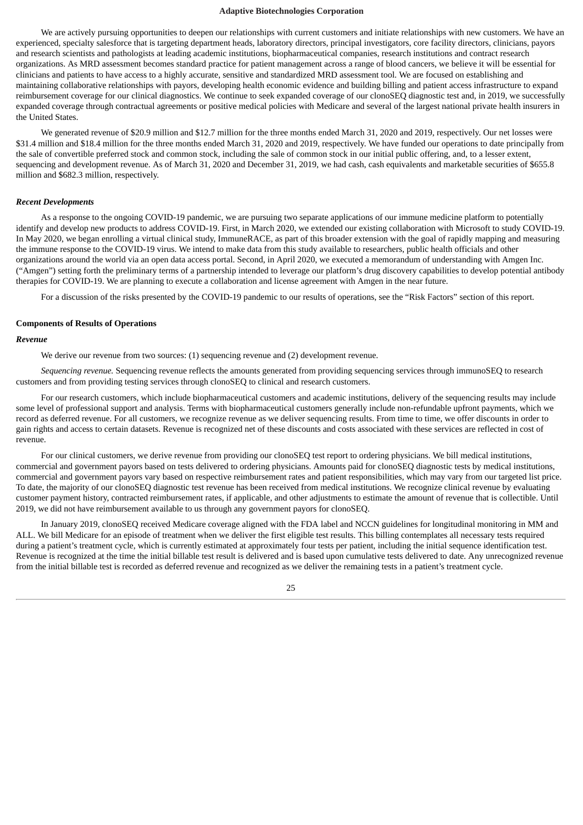We are actively pursuing opportunities to deepen our relationships with current customers and initiate relationships with new customers. We have an experienced, specialty salesforce that is targeting department heads, laboratory directors, principal investigators, core facility directors, clinicians, payors and research scientists and pathologists at leading academic institutions, biopharmaceutical companies, research institutions and contract research organizations. As MRD assessment becomes standard practice for patient management across a range of blood cancers, we believe it will be essential for clinicians and patients to have access to a highly accurate, sensitive and standardized MRD assessment tool. We are focused on establishing and maintaining collaborative relationships with payors, developing health economic evidence and building billing and patient access infrastructure to expand reimbursement coverage for our clinical diagnostics. We continue to seek expanded coverage of our clonoSEQ diagnostic test and, in 2019, we successfully expanded coverage through contractual agreements or positive medical policies with Medicare and several of the largest national private health insurers in the United States.

We generated revenue of \$20.9 million and \$12.7 million for the three months ended March 31, 2020 and 2019, respectively. Our net losses were \$31.4 million and \$18.4 million for the three months ended March 31, 2020 and 2019, respectively. We have funded our operations to date principally from the sale of convertible preferred stock and common stock, including the sale of common stock in our initial public offering, and, to a lesser extent, sequencing and development revenue. As of March 31, 2020 and December 31, 2019, we had cash, cash equivalents and marketable securities of \$655.8 million and \$682.3 million, respectively.

#### *Recent Developments*

As a response to the ongoing COVID-19 pandemic, we are pursuing two separate applications of our immune medicine platform to potentially identify and develop new products to address COVID-19. First, in March 2020, we extended our existing collaboration with Microsoft to study COVID-19. In May 2020, we began enrolling a virtual clinical study, ImmuneRACE, as part of this broader extension with the goal of rapidly mapping and measuring the immune response to the COVID-19 virus. We intend to make data from this study available to researchers, public health officials and other organizations around the world via an open data access portal. Second, in April 2020, we executed a memorandum of understanding with Amgen Inc. ("Amgen") setting forth the preliminary terms of a partnership intended to leverage our platform's drug discovery capabilities to develop potential antibody therapies for COVID-19. We are planning to execute a collaboration and license agreement with Amgen in the near future.

For a discussion of the risks presented by the COVID-19 pandemic to our results of operations, see the "Risk Factors" section of this report.

#### **Components of Results of Operations**

#### *Revenue*

We derive our revenue from two sources: (1) sequencing revenue and (2) development revenue.

*Sequencing revenue.* Sequencing revenue reflects the amounts generated from providing sequencing services through immunoSEQ to research customers and from providing testing services through clonoSEQ to clinical and research customers.

For our research customers, which include biopharmaceutical customers and academic institutions, delivery of the sequencing results may include some level of professional support and analysis. Terms with biopharmaceutical customers generally include non-refundable upfront payments, which we record as deferred revenue. For all customers, we recognize revenue as we deliver sequencing results. From time to time, we offer discounts in order to gain rights and access to certain datasets. Revenue is recognized net of these discounts and costs associated with these services are reflected in cost of revenue.

For our clinical customers, we derive revenue from providing our clonoSEQ test report to ordering physicians. We bill medical institutions, commercial and government payors based on tests delivered to ordering physicians. Amounts paid for clonoSEQ diagnostic tests by medical institutions, commercial and government payors vary based on respective reimbursement rates and patient responsibilities, which may vary from our targeted list price. To date, the majority of our clonoSEQ diagnostic test revenue has been received from medical institutions. We recognize clinical revenue by evaluating customer payment history, contracted reimbursement rates, if applicable, and other adjustments to estimate the amount of revenue that is collectible. Until 2019, we did not have reimbursement available to us through any government payors for clonoSEQ.

In January 2019, clonoSEQ received Medicare coverage aligned with the FDA label and NCCN guidelines for longitudinal monitoring in MM and ALL. We bill Medicare for an episode of treatment when we deliver the first eligible test results. This billing contemplates all necessary tests required during a patient's treatment cycle, which is currently estimated at approximately four tests per patient, including the initial sequence identification test. Revenue is recognized at the time the initial billable test result is delivered and is based upon cumulative tests delivered to date. Any unrecognized revenue from the initial billable test is recorded as deferred revenue and recognized as we deliver the remaining tests in a patient's treatment cycle.

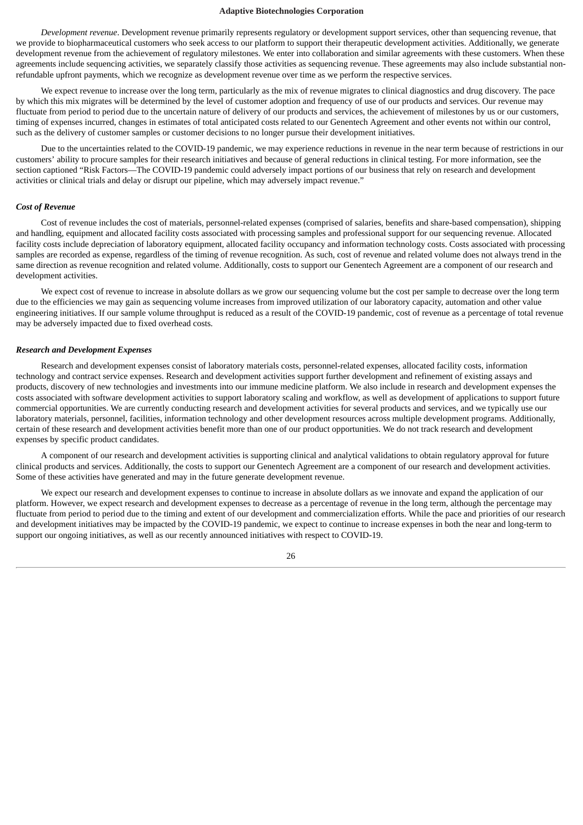*Development revenue*. Development revenue primarily represents regulatory or development support services, other than sequencing revenue, that we provide to biopharmaceutical customers who seek access to our platform to support their therapeutic development activities. Additionally, we generate development revenue from the achievement of regulatory milestones. We enter into collaboration and similar agreements with these customers. When these agreements include sequencing activities, we separately classify those activities as sequencing revenue. These agreements may also include substantial nonrefundable upfront payments, which we recognize as development revenue over time as we perform the respective services.

We expect revenue to increase over the long term, particularly as the mix of revenue migrates to clinical diagnostics and drug discovery. The pace by which this mix migrates will be determined by the level of customer adoption and frequency of use of our products and services. Our revenue may fluctuate from period to period due to the uncertain nature of delivery of our products and services, the achievement of milestones by us or our customers, timing of expenses incurred, changes in estimates of total anticipated costs related to our Genentech Agreement and other events not within our control, such as the delivery of customer samples or customer decisions to no longer pursue their development initiatives.

Due to the uncertainties related to the COVID-19 pandemic, we may experience reductions in revenue in the near term because of restrictions in our customers' ability to procure samples for their research initiatives and because of general reductions in clinical testing. For more information, see the section captioned "Risk Factors—The COVID-19 pandemic could adversely impact portions of our business that rely on research and development activities or clinical trials and delay or disrupt our pipeline, which may adversely impact revenue."

#### *Cost of Revenue*

Cost of revenue includes the cost of materials, personnel-related expenses (comprised of salaries, benefits and share-based compensation), shipping and handling, equipment and allocated facility costs associated with processing samples and professional support for our sequencing revenue. Allocated facility costs include depreciation of laboratory equipment, allocated facility occupancy and information technology costs. Costs associated with processing samples are recorded as expense, regardless of the timing of revenue recognition. As such, cost of revenue and related volume does not always trend in the same direction as revenue recognition and related volume. Additionally, costs to support our Genentech Agreement are a component of our research and development activities.

We expect cost of revenue to increase in absolute dollars as we grow our sequencing volume but the cost per sample to decrease over the long term due to the efficiencies we may gain as sequencing volume increases from improved utilization of our laboratory capacity, automation and other value engineering initiatives. If our sample volume throughput is reduced as a result of the COVID-19 pandemic, cost of revenue as a percentage of total revenue may be adversely impacted due to fixed overhead costs.

### *Research and Development Expenses*

Research and development expenses consist of laboratory materials costs, personnel-related expenses, allocated facility costs, information technology and contract service expenses. Research and development activities support further development and refinement of existing assays and products, discovery of new technologies and investments into our immune medicine platform. We also include in research and development expenses the costs associated with software development activities to support laboratory scaling and workflow, as well as development of applications to support future commercial opportunities. We are currently conducting research and development activities for several products and services, and we typically use our laboratory materials, personnel, facilities, information technology and other development resources across multiple development programs. Additionally, certain of these research and development activities benefit more than one of our product opportunities. We do not track research and development expenses by specific product candidates.

A component of our research and development activities is supporting clinical and analytical validations to obtain regulatory approval for future clinical products and services. Additionally, the costs to support our Genentech Agreement are a component of our research and development activities. Some of these activities have generated and may in the future generate development revenue.

We expect our research and development expenses to continue to increase in absolute dollars as we innovate and expand the application of our platform. However, we expect research and development expenses to decrease as a percentage of revenue in the long term, although the percentage may fluctuate from period to period due to the timing and extent of our development and commercialization efforts. While the pace and priorities of our research and development initiatives may be impacted by the COVID-19 pandemic, we expect to continue to increase expenses in both the near and long-term to support our ongoing initiatives, as well as our recently announced initiatives with respect to COVID-19.

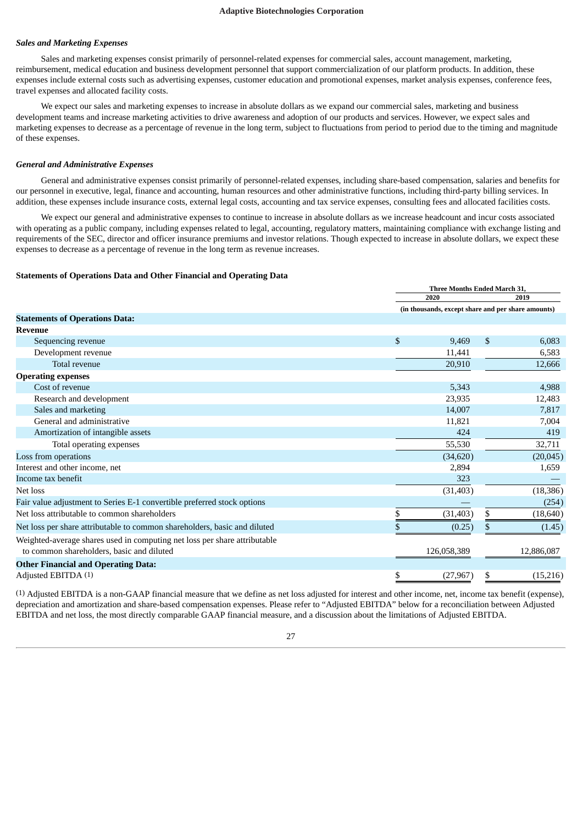#### *Sales and Marketing Expenses*

Sales and marketing expenses consist primarily of personnel-related expenses for commercial sales, account management, marketing, reimbursement, medical education and business development personnel that support commercialization of our platform products. In addition, these expenses include external costs such as advertising expenses, customer education and promotional expenses, market analysis expenses, conference fees, travel expenses and allocated facility costs.

We expect our sales and marketing expenses to increase in absolute dollars as we expand our commercial sales, marketing and business development teams and increase marketing activities to drive awareness and adoption of our products and services. However, we expect sales and marketing expenses to decrease as a percentage of revenue in the long term, subject to fluctuations from period to period due to the timing and magnitude of these expenses.

### *General and Administrative Expenses*

General and administrative expenses consist primarily of personnel-related expenses, including share-based compensation, salaries and benefits for our personnel in executive, legal, finance and accounting, human resources and other administrative functions, including third-party billing services. In addition, these expenses include insurance costs, external legal costs, accounting and tax service expenses, consulting fees and allocated facilities costs.

We expect our general and administrative expenses to continue to increase in absolute dollars as we increase headcount and incur costs associated with operating as a public company, including expenses related to legal, accounting, regulatory matters, maintaining compliance with exchange listing and requirements of the SEC, director and officer insurance premiums and investor relations. Though expected to increase in absolute dollars, we expect these expenses to decrease as a percentage of revenue in the long term as revenue increases.

# **Statements of Operations Data and Other Financial and Operating Data**

|                                                                                                                        | Three Months Ended March 31,                       |    |            |  |  |
|------------------------------------------------------------------------------------------------------------------------|----------------------------------------------------|----|------------|--|--|
|                                                                                                                        | 2020                                               |    | 2019       |  |  |
|                                                                                                                        | (in thousands, except share and per share amounts) |    |            |  |  |
| <b>Statements of Operations Data:</b>                                                                                  |                                                    |    |            |  |  |
| <b>Revenue</b>                                                                                                         |                                                    |    |            |  |  |
| Sequencing revenue                                                                                                     | \$<br>9.469                                        | \$ | 6,083      |  |  |
| Development revenue                                                                                                    | 11,441                                             |    | 6,583      |  |  |
| Total revenue                                                                                                          | 20,910                                             |    | 12,666     |  |  |
| <b>Operating expenses</b>                                                                                              |                                                    |    |            |  |  |
| Cost of revenue                                                                                                        | 5,343                                              |    | 4,988      |  |  |
| Research and development                                                                                               | 23,935                                             |    | 12,483     |  |  |
| Sales and marketing                                                                                                    | 14,007                                             |    | 7,817      |  |  |
| General and administrative                                                                                             | 11,821                                             |    | 7,004      |  |  |
| Amortization of intangible assets                                                                                      | 424                                                |    | 419        |  |  |
| Total operating expenses                                                                                               | 55,530                                             |    | 32,711     |  |  |
| Loss from operations                                                                                                   | (34, 620)                                          |    | (20, 045)  |  |  |
| Interest and other income, net                                                                                         | 2,894                                              |    | 1,659      |  |  |
| Income tax benefit                                                                                                     | 323                                                |    |            |  |  |
| Net loss                                                                                                               | (31, 403)                                          |    | (18, 386)  |  |  |
| Fair value adjustment to Series E-1 convertible preferred stock options                                                |                                                    |    | (254)      |  |  |
| Net loss attributable to common shareholders                                                                           | \$<br>(31, 403)                                    | \$ | (18, 640)  |  |  |
| Net loss per share attributable to common shareholders, basic and diluted                                              | (0.25)                                             |    | (1.45)     |  |  |
| Weighted-average shares used in computing net loss per share attributable<br>to common shareholders, basic and diluted | 126,058,389                                        |    | 12,886,087 |  |  |
| <b>Other Financial and Operating Data:</b>                                                                             |                                                    |    |            |  |  |
| Adjusted EBITDA (1)                                                                                                    | \$<br>(27, 967)                                    |    | (15,216)   |  |  |

(1) Adjusted EBITDA is a non-GAAP financial measure that we define as net loss adjusted for interest and other income, net, income tax benefit (expense), depreciation and amortization and share-based compensation expenses. Please refer to "Adjusted EBITDA" below for a reconciliation between Adjusted EBITDA and net loss, the most directly comparable GAAP financial measure, and a discussion about the limitations of Adjusted EBITDA.

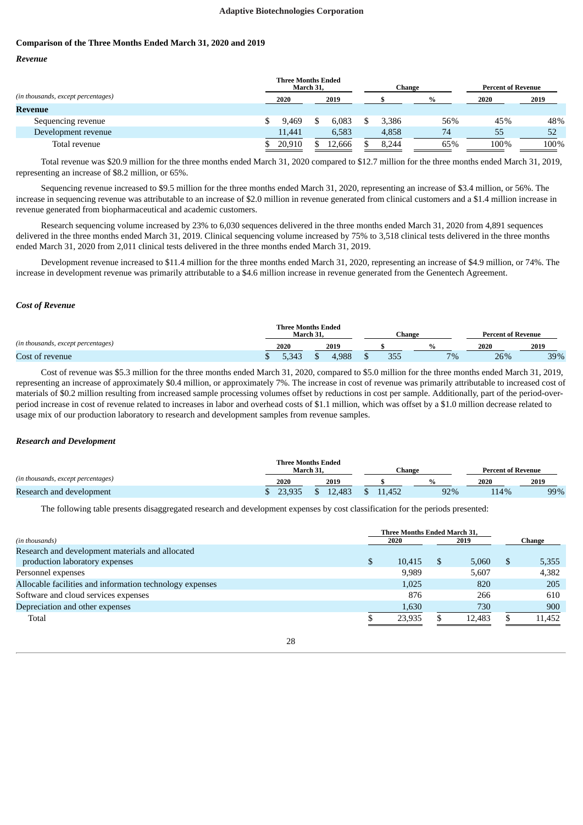# **Comparison of the Three Months Ended March 31, 2020 and 2019**

*Revenue*

|                                    | <b>Three Months Ended</b><br>March 31. |  |        | Change |  | <b>Percent of Revenue</b> |      |      |
|------------------------------------|----------------------------------------|--|--------|--------|--|---------------------------|------|------|
| (in thousands, except percentages) | 2020                                   |  | 2019   |        |  | $\frac{0}{0}$             | 2020 | 2019 |
| Revenue                            |                                        |  |        |        |  |                           |      |      |
| Sequencing revenue                 | 9.469                                  |  | 6.083  | 3,386  |  | 56%                       | 45%  | 48%  |
| Development revenue                | 11.441                                 |  | 6.583  | 4,858  |  | 74                        | 55   | 52   |
| Total revenue                      | 20.910                                 |  | 12.666 | 8,244  |  | 65%                       | 100% | 100% |

Total revenue was \$20.9 million for the three months ended March 31, 2020 compared to \$12.7 million for the three months ended March 31, 2019, representing an increase of \$8.2 million, or 65%.

Sequencing revenue increased to \$9.5 million for the three months ended March 31, 2020, representing an increase of \$3.4 million, or 56%. The increase in sequencing revenue was attributable to an increase of \$2.0 million in revenue generated from clinical customers and a \$1.4 million increase in revenue generated from biopharmaceutical and academic customers.

Research sequencing volume increased by 23% to 6,030 sequences delivered in the three months ended March 31, 2020 from 4,891 sequences delivered in the three months ended March 31, 2019. Clinical sequencing volume increased by 75% to 3,518 clinical tests delivered in the three months ended March 31, 2020 from 2,011 clinical tests delivered in the three months ended March 31, 2019.

Development revenue increased to \$11.4 million for the three months ended March 31, 2020, representing an increase of \$4.9 million, or 74%. The increase in development revenue was primarily attributable to a \$4.6 million increase in revenue generated from the Genentech Agreement.

## *Cost of Revenue*

|                                    | <b>Three Months Ended</b><br>March 31. |       | Change |       | <b>Percent of Revenue</b> |      |  |
|------------------------------------|----------------------------------------|-------|--------|-------|---------------------------|------|--|
| (in thousands, except percentages) | 2020                                   | 2019  |        |       | 2020                      | 2019 |  |
| Cost of revenue                    | 5,343                                  | 4.988 | 355    | $7\%$ | 26%                       | 39%  |  |

Cost of revenue was \$5.3 million for the three months ended March 31, 2020, compared to \$5.0 million for the three months ended March 31, 2019, representing an increase of approximately \$0.4 million, or approximately 7%. The increase in cost of revenue was primarily attributable to increased cost of materials of \$0.2 million resulting from increased sample processing volumes offset by reductions in cost per sample. Additionally, part of the period-overperiod increase in cost of revenue related to increases in labor and overhead costs of \$1.1 million, which was offset by a \$1.0 million decrease related to usage mix of our production laboratory to research and development samples from revenue samples.

# *Research and Development*

|                                    |         | <b>Three Months Ended</b><br>March 31. | Change |     | <b>Percent of Revenue</b> |      |  |
|------------------------------------|---------|----------------------------------------|--------|-----|---------------------------|------|--|
| (in thousands, except percentages) | 2020    | 2019                                   |        |     | 2020                      | 2019 |  |
| Research and development           | ں ں ں ے | $\Delta$ <sup>2</sup>                  |        | 92% | 114%                      | 99%  |  |

The following table presents disaggregated research and development expenses by cost classification for the periods presented:

|                                                          | <b>Three Months Ended March 31.</b> |      |        |               |
|----------------------------------------------------------|-------------------------------------|------|--------|---------------|
| (in thousands)                                           | 2020                                | 2019 |        | <b>Change</b> |
| Research and development materials and allocated         |                                     |      |        |               |
| production laboratory expenses                           | \$<br>10,415                        | \$   | 5,060  | 5,355         |
| Personnel expenses                                       | 9.989                               |      | 5,607  | 4,382         |
| Allocable facilities and information technology expenses | 1.025                               |      | 820    | 205           |
| Software and cloud services expenses                     | 876                                 |      | 266    | 610           |
| Depreciation and other expenses                          | 1,630                               |      | 730    | 900           |
| Total                                                    | 23.935                              |      | 12.483 | 11,452        |
|                                                          |                                     |      |        |               |

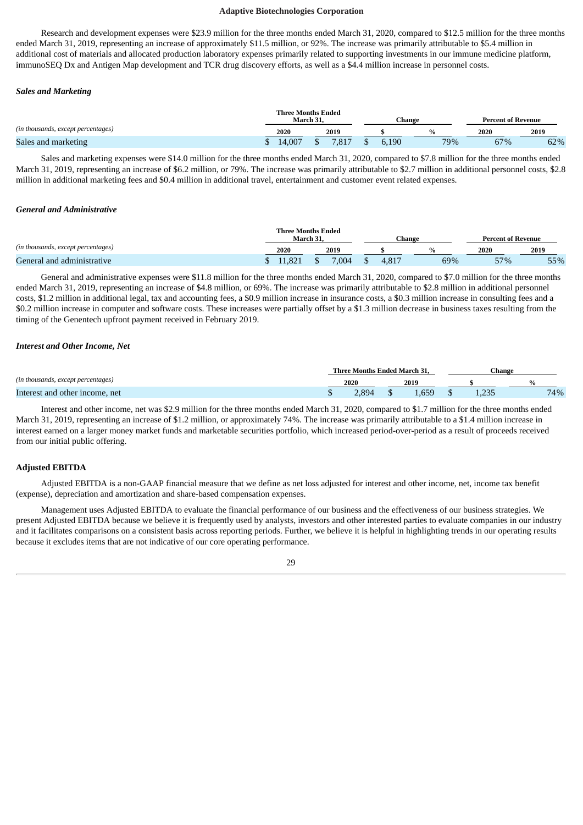Research and development expenses were \$23.9 million for the three months ended March 31, 2020, compared to \$12.5 million for the three months ended March 31, 2019, representing an increase of approximately \$11.5 million, or 92%. The increase was primarily attributable to \$5.4 million in additional cost of materials and allocated production laboratory expenses primarily related to supporting investments in our immune medicine platform, immunoSEQ Dx and Antigen Map development and TCR drug discovery efforts, as well as a \$4.4 million increase in personnel costs.

### *Sales and Marketing*

|                                    |  | <b>Three Months Ended</b><br>March 31. |  |       | Change |  |     | <b>Percent of Revenue</b> |     |      |      |  |
|------------------------------------|--|----------------------------------------|--|-------|--------|--|-----|---------------------------|-----|------|------|--|
| (in thousands, except percentages) |  | 2020                                   |  | 2019  |        |  |     | 0/2                       |     | 2020 | 2019 |  |
| Sales and marketing                |  | 4.007                                  |  | 7.817 | 5,190  |  | 79% | 67%                       | 62% |      |      |  |

Sales and marketing expenses were \$14.0 million for the three months ended March 31, 2020, compared to \$7.8 million for the three months ended March 31, 2019, representing an increase of \$6.2 million, or 79%. The increase was primarily attributable to \$2.7 million in additional personnel costs, \$2.8 million in additional marketing fees and \$0.4 million in additional travel, entertainment and customer event related expenses.

#### *General and Administrative*

|                                    | <b>Three Months Ended</b><br>March 31. |        |  |       | Change |     |      | <b>Percent of Revenue</b> |      |
|------------------------------------|----------------------------------------|--------|--|-------|--------|-----|------|---------------------------|------|
| (in thousands, except percentages) |                                        | 2020   |  | 2019  |        |     | 2020 |                           | 2019 |
| General and administrative         |                                        | 11.821 |  | 7.004 | 4.817  | 69% |      | 57%                       | 55%  |

General and administrative expenses were \$11.8 million for the three months ended March 31, 2020, compared to \$7.0 million for the three months ended March 31, 2019, representing an increase of \$4.8 million, or 69%. The increase was primarily attributable to \$2.8 million in additional personnel costs, \$1.2 million in additional legal, tax and accounting fees, a \$0.9 million increase in insurance costs, a \$0.3 million increase in consulting fees and a \$0.2 million increase in computer and software costs. These increases were partially offset by a \$1.3 million decrease in business taxes resulting from the timing of the Genentech upfront payment received in February 2019.

#### *Interest and Other Income, Net*

|                                    |  |      | <b>Three Months Ended March 31.</b> |  | hange |     |  |
|------------------------------------|--|------|-------------------------------------|--|-------|-----|--|
| (in thousands, except percentages) |  | 2020 | 2019                                |  |       |     |  |
| Interest and other income, net     |  | RQ   | .uj.                                |  | חרה   | 74% |  |

Interest and other income, net was \$2.9 million for the three months ended March 31, 2020, compared to \$1.7 million for the three months ended March 31, 2019, representing an increase of \$1.2 million, or approximately 74%. The increase was primarily attributable to a \$1.4 million increase in interest earned on a larger money market funds and marketable securities portfolio, which increased period-over-period as a result of proceeds received from our initial public offering.

## **Adjusted EBITDA**

Adjusted EBITDA is a non-GAAP financial measure that we define as net loss adjusted for interest and other income, net, income tax benefit (expense), depreciation and amortization and share-based compensation expenses.

Management uses Adjusted EBITDA to evaluate the financial performance of our business and the effectiveness of our business strategies. We present Adjusted EBITDA because we believe it is frequently used by analysts, investors and other interested parties to evaluate companies in our industry and it facilitates comparisons on a consistent basis across reporting periods. Further, we believe it is helpful in highlighting trends in our operating results because it excludes items that are not indicative of our core operating performance.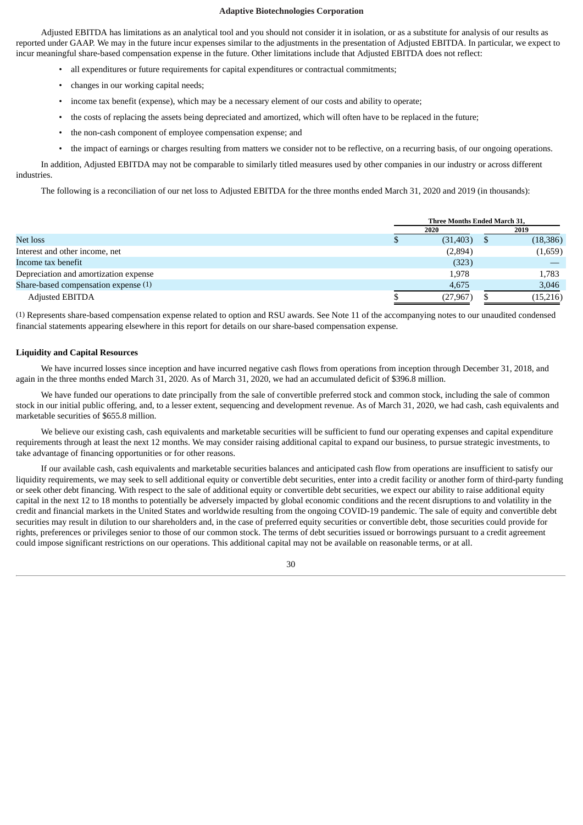Adjusted EBITDA has limitations as an analytical tool and you should not consider it in isolation, or as a substitute for analysis of our results as reported under GAAP. We may in the future incur expenses similar to the adjustments in the presentation of Adjusted EBITDA. In particular, we expect to incur meaningful share-based compensation expense in the future. Other limitations include that Adjusted EBITDA does not reflect:

- all expenditures or future requirements for capital expenditures or contractual commitments;
- changes in our working capital needs;
- income tax benefit (expense), which may be a necessary element of our costs and ability to operate;
- the costs of replacing the assets being depreciated and amortized, which will often have to be replaced in the future;
- the non-cash component of employee compensation expense; and
- the impact of earnings or charges resulting from matters we consider not to be reflective, on a recurring basis, of our ongoing operations.

In addition, Adjusted EBITDA may not be comparable to similarly titled measures used by other companies in our industry or across different industries.

The following is a reconciliation of our net loss to Adjusted EBITDA for the three months ended March 31, 2020 and 2019 (in thousands):

|                                       |   | Three Months Ended March 31, |  |           |  |
|---------------------------------------|---|------------------------------|--|-----------|--|
|                                       |   | 2020                         |  | 2019      |  |
| Net loss                              | D | (31, 403)                    |  | (18, 386) |  |
| Interest and other income, net        |   | (2,894)                      |  | (1,659)   |  |
| Income tax benefit                    |   | (323)                        |  |           |  |
| Depreciation and amortization expense |   | 1,978                        |  | 1,783     |  |
| Share-based compensation expense (1)  |   | 4,675                        |  | 3,046     |  |
| <b>Adjusted EBITDA</b>                |   | (27,967                      |  | (15,216)  |  |

(1) Represents share-based compensation expense related to option and RSU awards. See Note 11 of the accompanying notes to our unaudited condensed financial statements appearing elsewhere in this report for details on our share-based compensation expense.

# **Liquidity and Capital Resources**

We have incurred losses since inception and have incurred negative cash flows from operations from inception through December 31, 2018, and again in the three months ended March 31, 2020. As of March 31, 2020, we had an accumulated deficit of \$396.8 million.

We have funded our operations to date principally from the sale of convertible preferred stock and common stock, including the sale of common stock in our initial public offering, and, to a lesser extent, sequencing and development revenue. As of March 31, 2020, we had cash, cash equivalents and marketable securities of \$655.8 million.

We believe our existing cash, cash equivalents and marketable securities will be sufficient to fund our operating expenses and capital expenditure requirements through at least the next 12 months. We may consider raising additional capital to expand our business, to pursue strategic investments, to take advantage of financing opportunities or for other reasons.

If our available cash, cash equivalents and marketable securities balances and anticipated cash flow from operations are insufficient to satisfy our liquidity requirements, we may seek to sell additional equity or convertible debt securities, enter into a credit facility or another form of third-party funding or seek other debt financing. With respect to the sale of additional equity or convertible debt securities, we expect our ability to raise additional equity capital in the next 12 to 18 months to potentially be adversely impacted by global economic conditions and the recent disruptions to and volatility in the credit and financial markets in the United States and worldwide resulting from the ongoing COVID-19 pandemic. The sale of equity and convertible debt securities may result in dilution to our shareholders and, in the case of preferred equity securities or convertible debt, those securities could provide for rights, preferences or privileges senior to those of our common stock. The terms of debt securities issued or borrowings pursuant to a credit agreement could impose significant restrictions on our operations. This additional capital may not be available on reasonable terms, or at all.

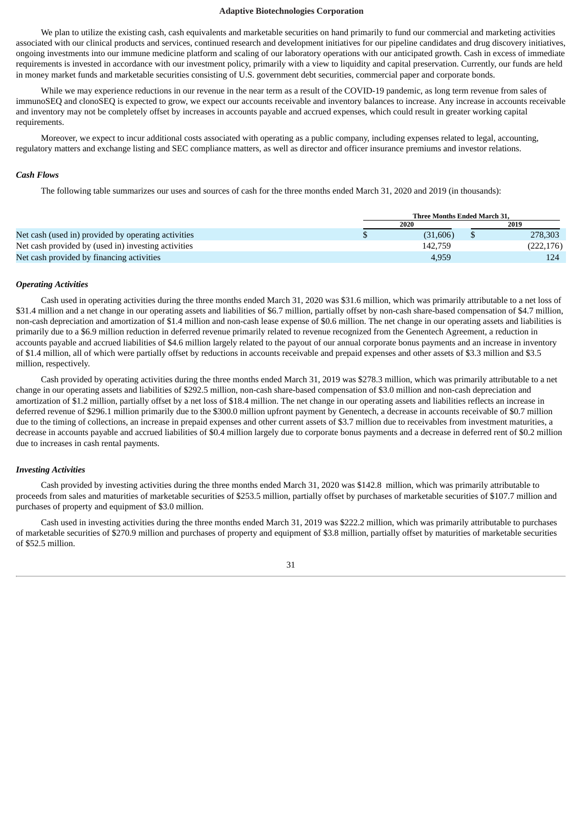We plan to utilize the existing cash, cash equivalents and marketable securities on hand primarily to fund our commercial and marketing activities associated with our clinical products and services, continued research and development initiatives for our pipeline candidates and drug discovery initiatives, ongoing investments into our immune medicine platform and scaling of our laboratory operations with our anticipated growth. Cash in excess of immediate requirements is invested in accordance with our investment policy, primarily with a view to liquidity and capital preservation. Currently, our funds are held in money market funds and marketable securities consisting of U.S. government debt securities, commercial paper and corporate bonds.

While we may experience reductions in our revenue in the near term as a result of the COVID-19 pandemic, as long term revenue from sales of immunoSEQ and clonoSEQ is expected to grow, we expect our accounts receivable and inventory balances to increase. Any increase in accounts receivable and inventory may not be completely offset by increases in accounts payable and accrued expenses, which could result in greater working capital requirements.

Moreover, we expect to incur additional costs associated with operating as a public company, including expenses related to legal, accounting, regulatory matters and exchange listing and SEC compliance matters, as well as director and officer insurance premiums and investor relations.

### *Cash Flows*

The following table summarizes our uses and sources of cash for the three months ended March 31, 2020 and 2019 (in thousands):

|                                                     | <b>Three Months Ended March 31.</b> |  |            |
|-----------------------------------------------------|-------------------------------------|--|------------|
|                                                     | 2020                                |  | 2019       |
| Net cash (used in) provided by operating activities | (31,606)                            |  | 278,303    |
| Net cash provided by (used in) investing activities | 142.759                             |  | (222, 176) |
| Net cash provided by financing activities           | 4.959                               |  | 124        |

#### *Operating Activities*

Cash used in operating activities during the three months ended March 31, 2020 was \$31.6 million, which was primarily attributable to a net loss of \$31.4 million and a net change in our operating assets and liabilities of \$6.7 million, partially offset by non-cash share-based compensation of \$4.7 million, non-cash depreciation and amortization of \$1.4 million and non-cash lease expense of \$0.6 million. The net change in our operating assets and liabilities is primarily due to a \$6.9 million reduction in deferred revenue primarily related to revenue recognized from the Genentech Agreement, a reduction in accounts payable and accrued liabilities of \$4.6 million largely related to the payout of our annual corporate bonus payments and an increase in inventory of \$1.4 million, all of which were partially offset by reductions in accounts receivable and prepaid expenses and other assets of \$3.3 million and \$3.5 million, respectively.

Cash provided by operating activities during the three months ended March 31, 2019 was \$278.3 million, which was primarily attributable to a net change in our operating assets and liabilities of \$292.5 million, non-cash share-based compensation of \$3.0 million and non-cash depreciation and amortization of \$1.2 million, partially offset by a net loss of \$18.4 million. The net change in our operating assets and liabilities reflects an increase in deferred revenue of \$296.1 million primarily due to the \$300.0 million upfront payment by Genentech, a decrease in accounts receivable of \$0.7 million due to the timing of collections, an increase in prepaid expenses and other current assets of \$3.7 million due to receivables from investment maturities, a decrease in accounts payable and accrued liabilities of \$0.4 million largely due to corporate bonus payments and a decrease in deferred rent of \$0.2 million due to increases in cash rental payments.

#### *Investing Activities*

Cash provided by investing activities during the three months ended March 31, 2020 was \$142.8 million, which was primarily attributable to proceeds from sales and maturities of marketable securities of \$253.5 million, partially offset by purchases of marketable securities of \$107.7 million and purchases of property and equipment of \$3.0 million.

Cash used in investing activities during the three months ended March 31, 2019 was \$222.2 million, which was primarily attributable to purchases of marketable securities of \$270.9 million and purchases of property and equipment of \$3.8 million, partially offset by maturities of marketable securities of \$52.5 million.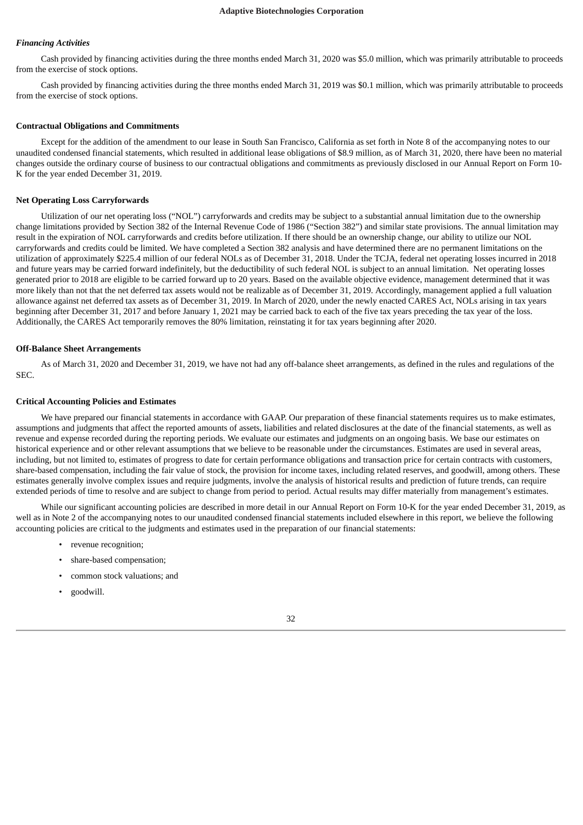#### *Financing Activities*

Cash provided by financing activities during the three months ended March 31, 2020 was \$5.0 million, which was primarily attributable to proceeds from the exercise of stock options.

Cash provided by financing activities during the three months ended March 31, 2019 was \$0.1 million, which was primarily attributable to proceeds from the exercise of stock options.

### **Contractual Obligations and Commitments**

Except for the addition of the amendment to our lease in South San Francisco, California as set forth in Note 8 of the accompanying notes to our unaudited condensed financial statements, which resulted in additional lease obligations of \$8.9 million, as of March 31, 2020, there have been no material changes outside the ordinary course of business to our contractual obligations and commitments as previously disclosed in our Annual Report on Form 10- K for the year ended December 31, 2019.

#### **Net Operating Loss Carryforwards**

Utilization of our net operating loss ("NOL") carryforwards and credits may be subject to a substantial annual limitation due to the ownership change limitations provided by Section 382 of the Internal Revenue Code of 1986 ("Section 382") and similar state provisions. The annual limitation may result in the expiration of NOL carryforwards and credits before utilization. If there should be an ownership change, our ability to utilize our NOL carryforwards and credits could be limited. We have completed a Section 382 analysis and have determined there are no permanent limitations on the utilization of approximately \$225.4 million of our federal NOLs as of December 31, 2018. Under the TCJA, federal net operating losses incurred in 2018 and future years may be carried forward indefinitely, but the deductibility of such federal NOL is subject to an annual limitation. Net operating losses generated prior to 2018 are eligible to be carried forward up to 20 years. Based on the available objective evidence, management determined that it was more likely than not that the net deferred tax assets would not be realizable as of December 31, 2019. Accordingly, management applied a full valuation allowance against net deferred tax assets as of December 31, 2019. In March of 2020, under the newly enacted CARES Act, NOLs arising in tax years beginning after December 31, 2017 and before January 1, 2021 may be carried back to each of the five tax years preceding the tax year of the loss. Additionally, the CARES Act temporarily removes the 80% limitation, reinstating it for tax years beginning after 2020.

#### **Off-Balance Sheet Arrangements**

As of March 31, 2020 and December 31, 2019, we have not had any off-balance sheet arrangements, as defined in the rules and regulations of the SEC.

### **Critical Accounting Policies and Estimates**

We have prepared our financial statements in accordance with GAAP. Our preparation of these financial statements requires us to make estimates, assumptions and judgments that affect the reported amounts of assets, liabilities and related disclosures at the date of the financial statements, as well as revenue and expense recorded during the reporting periods. We evaluate our estimates and judgments on an ongoing basis. We base our estimates on historical experience and or other relevant assumptions that we believe to be reasonable under the circumstances. Estimates are used in several areas, including, but not limited to, estimates of progress to date for certain performance obligations and transaction price for certain contracts with customers, share-based compensation, including the fair value of stock, the provision for income taxes, including related reserves, and goodwill, among others. These estimates generally involve complex issues and require judgments, involve the analysis of historical results and prediction of future trends, can require extended periods of time to resolve and are subject to change from period to period. Actual results may differ materially from management's estimates.

While our significant accounting policies are described in more detail in our Annual Report on Form 10-K for the year ended December 31, 2019, as well as in Note 2 of the accompanying notes to our unaudited condensed financial statements included elsewhere in this report, we believe the following accounting policies are critical to the judgments and estimates used in the preparation of our financial statements:

- revenue recognition;
- share-based compensation;
- common stock valuations; and
- goodwill.

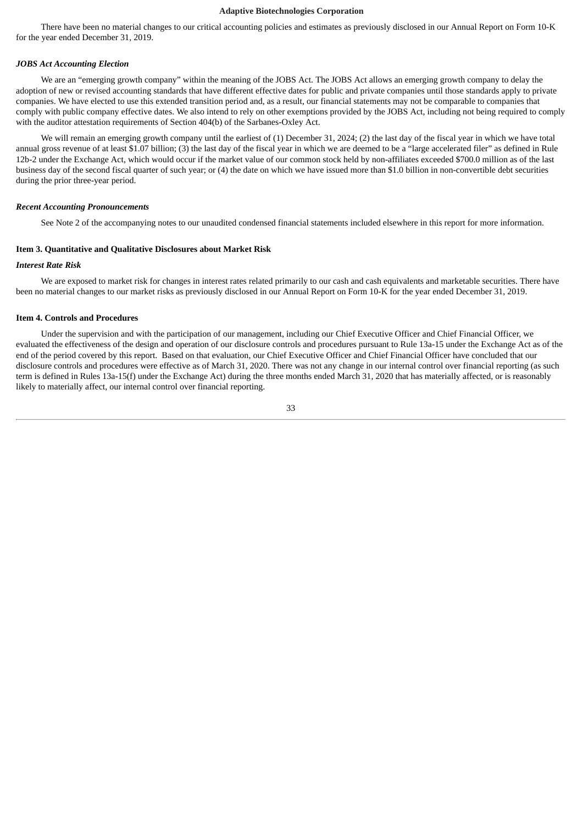There have been no material changes to our critical accounting policies and estimates as previously disclosed in our Annual Report on Form 10-K for the year ended December 31, 2019.

### *JOBS Act Accounting Election*

We are an "emerging growth company" within the meaning of the JOBS Act. The JOBS Act allows an emerging growth company to delay the adoption of new or revised accounting standards that have different effective dates for public and private companies until those standards apply to private companies. We have elected to use this extended transition period and, as a result, our financial statements may not be comparable to companies that comply with public company effective dates. We also intend to rely on other exemptions provided by the JOBS Act, including not being required to comply with the auditor attestation requirements of Section 404(b) of the Sarbanes-Oxley Act.

We will remain an emerging growth company until the earliest of (1) December 31, 2024; (2) the last day of the fiscal year in which we have total annual gross revenue of at least \$1.07 billion; (3) the last day of the fiscal year in which we are deemed to be a "large accelerated filer" as defined in Rule 12b-2 under the Exchange Act, which would occur if the market value of our common stock held by non-affiliates exceeded \$700.0 million as of the last business day of the second fiscal quarter of such year; or (4) the date on which we have issued more than \$1.0 billion in non-convertible debt securities during the prior three-year period.

#### *Recent Accounting Pronouncements*

See Note 2 of the accompanying notes to our unaudited condensed financial statements included elsewhere in this report for more information.

#### <span id="page-32-0"></span>**Item 3. Quantitative and Qualitative Disclosures about Market Risk**

#### *Interest Rate Risk*

We are exposed to market risk for changes in interest rates related primarily to our cash and cash equivalents and marketable securities. There have been no material changes to our market risks as previously disclosed in our Annual Report on Form 10-K for the year ended December 31, 2019.

#### <span id="page-32-1"></span>**Item 4. Controls and Procedures**

Under the supervision and with the participation of our management, including our Chief Executive Officer and Chief Financial Officer, we evaluated the effectiveness of the design and operation of our disclosure controls and procedures pursuant to Rule 13a-15 under the Exchange Act as of the end of the period covered by this report. Based on that evaluation, our Chief Executive Officer and Chief Financial Officer have concluded that our disclosure controls and procedures were effective as of March 31, 2020. There was not any change in our internal control over financial reporting (as such term is defined in Rules 13a-15(f) under the Exchange Act) during the three months ended March 31, 2020 that has materially affected, or is reasonably likely to materially affect, our internal control over financial reporting.

33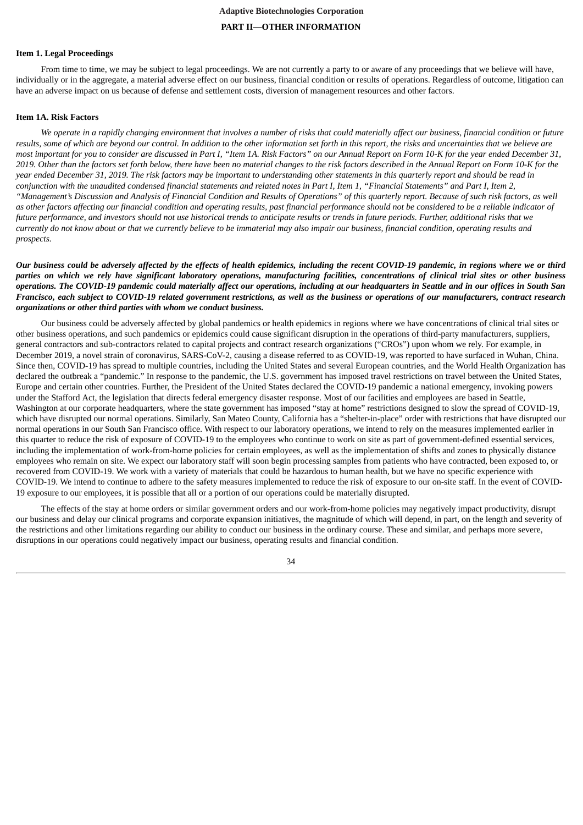# **Adaptive Biotechnologies Corporation PART II—OTHER INFORMATION**

#### <span id="page-33-1"></span><span id="page-33-0"></span>**Item 1. Legal Proceedings**

From time to time, we may be subject to legal proceedings. We are not currently a party to or aware of any proceedings that we believe will have, individually or in the aggregate, a material adverse effect on our business, financial condition or results of operations. Regardless of outcome, litigation can have an adverse impact on us because of defense and settlement costs, diversion of management resources and other factors.

#### <span id="page-33-2"></span>**Item 1A. Risk Factors**

We operate in a rapidly changing environment that involves a number of risks that could materially affect our business, financial condition or future results, some of which are beyond our control. In addition to the other information set forth in this report, the risks and uncertainties that we believe are most important for you to consider are discussed in Part I, "Item 1A. Risk Factors" on our Annual Report on Form 10-K for the year ended December 31, 2019. Other than the factors set forth below, there have been no material changes to the risk factors described in the Annual Report on Form 10-K for the year ended December 31, 2019. The risk factors may be important to understanding other statements in this quarterly report and should be read in conjunction with the unaudited condensed financial statements and related notes in Part I, Item 1, "Financial Statements" and Part I, Item 2, "Management's Discussion and Analysis of Financial Condition and Results of Operations" of this quarterly report. Because of such risk factors, as well as other factors affecting our financial condition and operating results, past financial performance should not be considered to be a reliable indicator of future performance, and investors should not use historical trends to anticipate results or trends in future periods. Further, additional risks that we currently do not know about or that we currently believe to be immaterial may also impair our business, financial condition, operating results and *prospects.*

Our business could be adversely affected by the effects of health epidemics, including the recent COVID-19 pandemic, in regions where we or third parties on which we rely have significant laboratory operations, manufacturing facilities, concentrations of clinical trial sites or other business operations. The COVID-19 pandemic could materially affect our operations, including at our headquarters in Seattle and in our offices in South San Francisco, each subject to COVID-19 related government restrictions, as well as the business or operations of our manufacturers, contract research *organizations or other third parties with whom we conduct business.*

Our business could be adversely affected by global pandemics or health epidemics in regions where we have concentrations of clinical trial sites or other business operations, and such pandemics or epidemics could cause significant disruption in the operations of third-party manufacturers, suppliers, general contractors and sub-contractors related to capital projects and contract research organizations ("CROs") upon whom we rely. For example, in December 2019, a novel strain of coronavirus, SARS-CoV-2, causing a disease referred to as COVID-19, was reported to have surfaced in Wuhan, China. Since then, COVID-19 has spread to multiple countries, including the United States and several European countries, and the World Health Organization has declared the outbreak a "pandemic." In response to the pandemic, the U.S. government has imposed travel restrictions on travel between the United States, Europe and certain other countries. Further, the President of the United States declared the COVID-19 pandemic a national emergency, invoking powers under the Stafford Act, the legislation that directs federal emergency disaster response. Most of our facilities and employees are based in Seattle, Washington at our corporate headquarters, where the state government has imposed "stay at home" restrictions designed to slow the spread of COVID-19, which have disrupted our normal operations. Similarly, San Mateo County, California has a "shelter-in-place" order with restrictions that have disrupted our normal operations in our South San Francisco office. With respect to our laboratory operations, we intend to rely on the measures implemented earlier in this quarter to reduce the risk of exposure of COVID-19 to the employees who continue to work on site as part of government-defined essential services, including the implementation of work-from-home policies for certain employees, as well as the implementation of shifts and zones to physically distance employees who remain on site. We expect our laboratory staff will soon begin processing samples from patients who have contracted, been exposed to, or recovered from COVID-19. We work with a variety of materials that could be hazardous to human health, but we have no specific experience with COVID-19. We intend to continue to adhere to the safety measures implemented to reduce the risk of exposure to our on-site staff. In the event of COVID-19 exposure to our employees, it is possible that all or a portion of our operations could be materially disrupted.

The effects of the stay at home orders or similar government orders and our work-from-home policies may negatively impact productivity, disrupt our business and delay our clinical programs and corporate expansion initiatives, the magnitude of which will depend, in part, on the length and severity of the restrictions and other limitations regarding our ability to conduct our business in the ordinary course. These and similar, and perhaps more severe, disruptions in our operations could negatively impact our business, operating results and financial condition.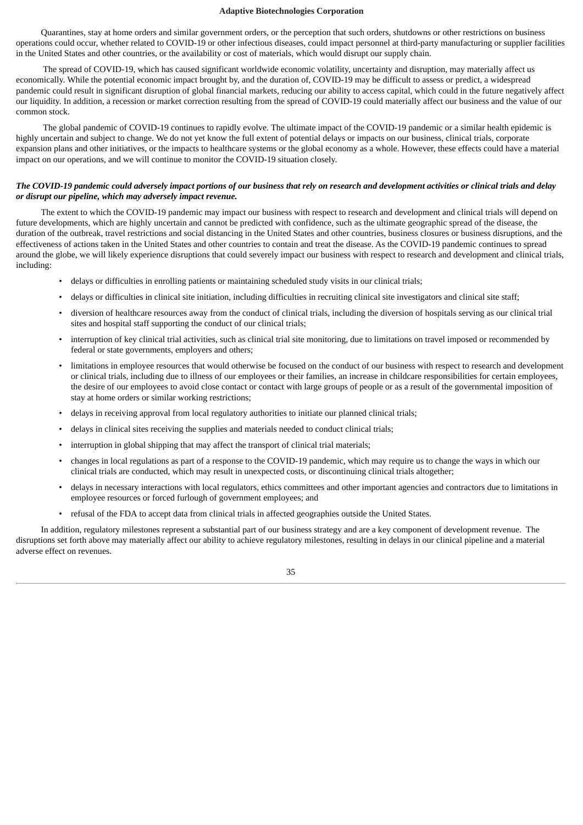Quarantines, stay at home orders and similar government orders, or the perception that such orders, shutdowns or other restrictions on business operations could occur, whether related to COVID-19 or other infectious diseases, could impact personnel at third-party manufacturing or supplier facilities in the United States and other countries, or the availability or cost of materials, which would disrupt our supply chain.

The spread of COVID-19, which has caused significant worldwide economic volatility, uncertainty and disruption, may materially affect us economically. While the potential economic impact brought by, and the duration of, COVID-19 may be difficult to assess or predict, a widespread pandemic could result in significant disruption of global financial markets, reducing our ability to access capital, which could in the future negatively affect our liquidity. In addition, a recession or market correction resulting from the spread of COVID-19 could materially affect our business and the value of our common stock.

The global pandemic of COVID-19 continues to rapidly evolve. The ultimate impact of the COVID-19 pandemic or a similar health epidemic is highly uncertain and subject to change. We do not yet know the full extent of potential delays or impacts on our business, clinical trials, corporate expansion plans and other initiatives, or the impacts to healthcare systems or the global economy as a whole. However, these effects could have a material impact on our operations, and we will continue to monitor the COVID-19 situation closely.

# The COVID-19 pandemic could adversely impact portions of our business that rely on research and development activities or clinical trials and delay *or disrupt our pipeline, which may adversely impact revenue.*

The extent to which the COVID-19 pandemic may impact our business with respect to research and development and clinical trials will depend on future developments, which are highly uncertain and cannot be predicted with confidence, such as the ultimate geographic spread of the disease, the duration of the outbreak, travel restrictions and social distancing in the United States and other countries, business closures or business disruptions, and the effectiveness of actions taken in the United States and other countries to contain and treat the disease. As the COVID-19 pandemic continues to spread around the globe, we will likely experience disruptions that could severely impact our business with respect to research and development and clinical trials, including:

- delays or difficulties in enrolling patients or maintaining scheduled study visits in our clinical trials;
- delays or difficulties in clinical site initiation, including difficulties in recruiting clinical site investigators and clinical site staff;
- diversion of healthcare resources away from the conduct of clinical trials, including the diversion of hospitals serving as our clinical trial sites and hospital staff supporting the conduct of our clinical trials;
- interruption of key clinical trial activities, such as clinical trial site monitoring, due to limitations on travel imposed or recommended by federal or state governments, employers and others;
- limitations in employee resources that would otherwise be focused on the conduct of our business with respect to research and development or clinical trials, including due to illness of our employees or their families, an increase in childcare responsibilities for certain employees, the desire of our employees to avoid close contact or contact with large groups of people or as a result of the governmental imposition of stay at home orders or similar working restrictions;
- delays in receiving approval from local regulatory authorities to initiate our planned clinical trials;
- delays in clinical sites receiving the supplies and materials needed to conduct clinical trials;
- interruption in global shipping that may affect the transport of clinical trial materials;
- changes in local regulations as part of a response to the COVID-19 pandemic, which may require us to change the ways in which our clinical trials are conducted, which may result in unexpected costs, or discontinuing clinical trials altogether;
- delays in necessary interactions with local regulators, ethics committees and other important agencies and contractors due to limitations in employee resources or forced furlough of government employees; and
- refusal of the FDA to accept data from clinical trials in affected geographies outside the United States.

In addition, regulatory milestones represent a substantial part of our business strategy and are a key component of development revenue. The disruptions set forth above may materially affect our ability to achieve regulatory milestones, resulting in delays in our clinical pipeline and a material adverse effect on revenues.

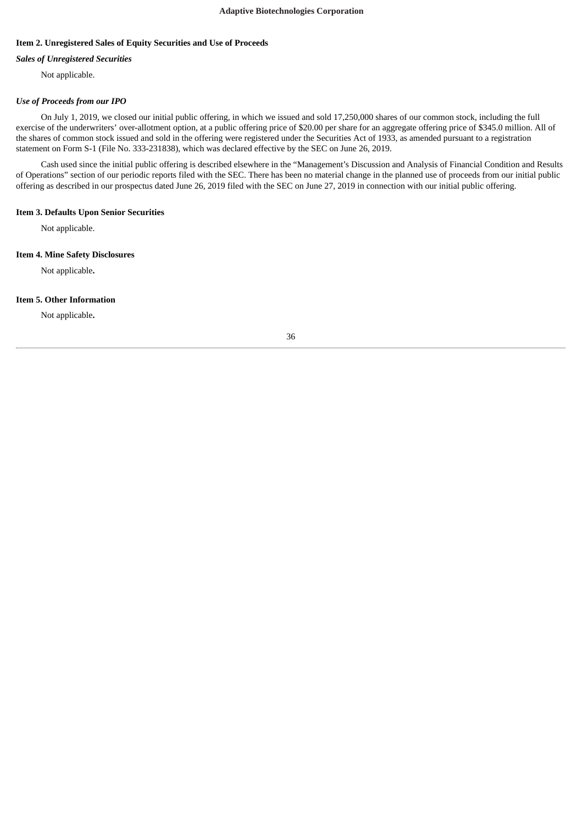# <span id="page-35-0"></span>**Item 2. Unregistered Sales of Equity Securities and Use of Proceeds**

# *Sales of Unregistered Securities*

Not applicable.

# *Use of Proceeds from our IPO*

On July 1, 2019, we closed our initial public offering, in which we issued and sold 17,250,000 shares of our common stock, including the full exercise of the underwriters' over-allotment option, at a public offering price of \$20.00 per share for an aggregate offering price of \$345.0 million. All of the shares of common stock issued and sold in the offering were registered under the Securities Act of 1933, as amended pursuant to a registration statement on Form S-1 (File No. 333-231838), which was declared effective by the SEC on June 26, 2019.

Cash used since the initial public offering is described elsewhere in the "Management's Discussion and Analysis of Financial Condition and Results of Operations" section of our periodic reports filed with the SEC. There has been no material change in the planned use of proceeds from our initial public offering as described in our prospectus dated June 26, 2019 filed with the SEC on June 27, 2019 in connection with our initial public offering.

# <span id="page-35-1"></span>**Item 3. Defaults Upon Senior Securities**

Not applicable.

# <span id="page-35-2"></span>**Item 4. Mine Safety Disclosures**

Not applicable**.**

# <span id="page-35-3"></span>**Item 5. Other Information**

Not applicable**.**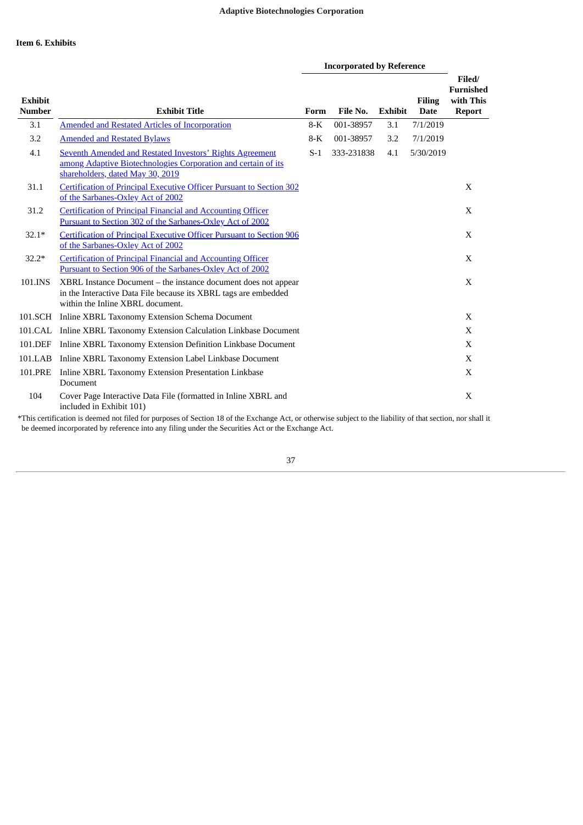<span id="page-36-0"></span>

|                                 |                                                                                                                                                                         | <b>Incorporated by Reference</b> |            |         |                              |                                                   |
|---------------------------------|-------------------------------------------------------------------------------------------------------------------------------------------------------------------------|----------------------------------|------------|---------|------------------------------|---------------------------------------------------|
| <b>Exhibit</b><br><b>Number</b> | <b>Exhibit Title</b>                                                                                                                                                    | Form                             | File No.   | Exhibit | <b>Filing</b><br><b>Date</b> | Filed/<br><b>Furnished</b><br>with This<br>Report |
| 3.1                             | <b>Amended and Restated Articles of Incorporation</b>                                                                                                                   | $8-K$                            | 001-38957  | 3.1     | 7/1/2019                     |                                                   |
| 3.2                             | <b>Amended and Restated Bylaws</b>                                                                                                                                      | $8-K$                            | 001-38957  | 3.2     | 7/1/2019                     |                                                   |
| 4.1                             | <b>Seventh Amended and Restated Investors' Rights Agreement</b><br>among Adaptive Biotechnologies Corporation and certain of its<br>shareholders, dated May 30, 2019    | $S-1$                            | 333-231838 | 4.1     | 5/30/2019                    |                                                   |
| 31.1                            | <b>Certification of Principal Executive Officer Pursuant to Section 302</b><br>of the Sarbanes-Oxley Act of 2002                                                        |                                  |            |         |                              | X                                                 |
| 31.2                            | <b>Certification of Principal Financial and Accounting Officer</b><br>Pursuant to Section 302 of the Sarbanes-Oxley Act of 2002                                         |                                  |            |         |                              | X                                                 |
| $32.1*$                         | <b>Certification of Principal Executive Officer Pursuant to Section 906</b><br>of the Sarbanes-Oxley Act of 2002                                                        |                                  |            |         |                              | X                                                 |
| $32.2*$                         | <b>Certification of Principal Financial and Accounting Officer</b><br>Pursuant to Section 906 of the Sarbanes-Oxley Act of 2002                                         |                                  |            |         |                              | X                                                 |
| 101.INS                         | $XBRL$ Instance Document – the instance document does not appear<br>in the Interactive Data File because its XBRL tags are embedded<br>within the Inline XBRL document. |                                  |            |         |                              | X                                                 |
| 101.SCH                         | Inline XBRL Taxonomy Extension Schema Document                                                                                                                          |                                  |            |         |                              | X                                                 |
| 101.CAL                         | Inline XBRL Taxonomy Extension Calculation Linkbase Document                                                                                                            |                                  |            |         |                              | X                                                 |
| 101.DEF                         | Inline XBRL Taxonomy Extension Definition Linkbase Document                                                                                                             |                                  |            |         |                              | X                                                 |
| 101.LAB                         | Inline XBRL Taxonomy Extension Label Linkbase Document                                                                                                                  |                                  |            |         |                              | X                                                 |
| 101.PRE                         | Inline XBRL Taxonomy Extension Presentation Linkbase<br>Document                                                                                                        |                                  |            |         |                              | X                                                 |
| 104                             | Cover Page Interactive Data File (formatted in Inline XBRL and<br>included in Exhibit 101)                                                                              |                                  |            |         |                              | X                                                 |

\*This certification is deemed not filed for purposes of Section 18 of the Exchange Act, or otherwise subject to the liability of that section, nor shall it be deemed incorporated by reference into any filing under the Securities Act or the Exchange Act.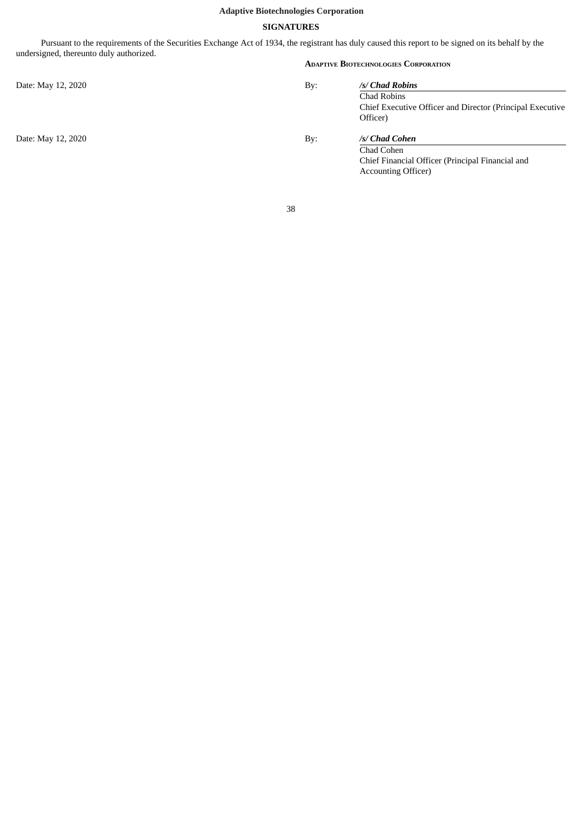# **SIGNATURES**

<span id="page-37-0"></span>Pursuant to the requirements of the Securities Exchange Act of 1934, the registrant has duly caused this report to be signed on its behalf by the undersigned, thereunto duly authorized.

Date: May 12, 2020 By:

Date: May 12, 2020 By:

# **ADAPTIVE BIOTECHNOLOGIES CORPORATION**

Accounting Officer)

| /s/ Chad Robins                                           |
|-----------------------------------------------------------|
| <b>Chad Robins</b>                                        |
| Chief Executive Officer and Director (Principal Executive |
| Officer)                                                  |
| /s/ Chad Cohen                                            |
| Chad Cohen                                                |

Chief Financial Officer (Principal Financial and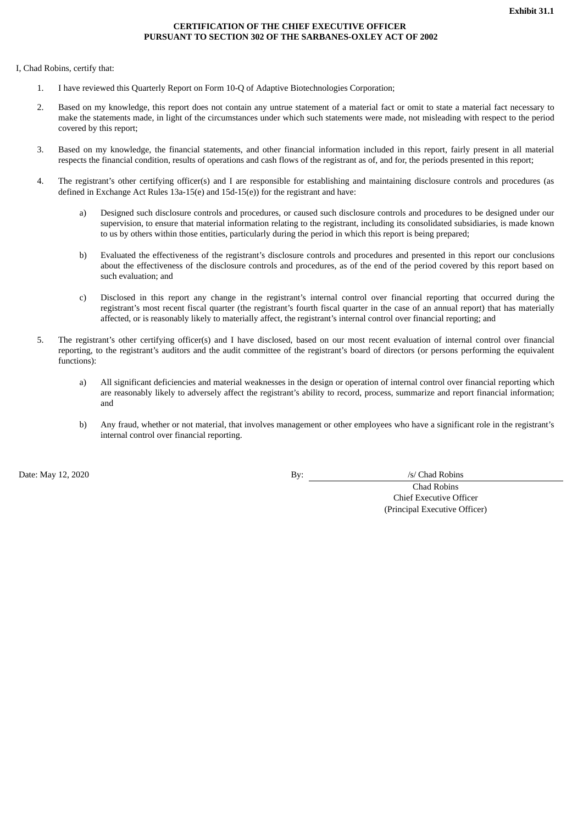# **CERTIFICATION OF THE CHIEF EXECUTIVE OFFICER PURSUANT TO SECTION 302 OF THE SARBANES-OXLEY ACT OF 2002**

<span id="page-38-0"></span>I, Chad Robins, certify that:

- 1. I have reviewed this Quarterly Report on Form 10-Q of Adaptive Biotechnologies Corporation;
- 2. Based on my knowledge, this report does not contain any untrue statement of a material fact or omit to state a material fact necessary to make the statements made, in light of the circumstances under which such statements were made, not misleading with respect to the period covered by this report;
- 3. Based on my knowledge, the financial statements, and other financial information included in this report, fairly present in all material respects the financial condition, results of operations and cash flows of the registrant as of, and for, the periods presented in this report;
- 4. The registrant's other certifying officer(s) and I are responsible for establishing and maintaining disclosure controls and procedures (as defined in Exchange Act Rules 13a-15(e) and 15d-15(e)) for the registrant and have:
	- a) Designed such disclosure controls and procedures, or caused such disclosure controls and procedures to be designed under our supervision, to ensure that material information relating to the registrant, including its consolidated subsidiaries, is made known to us by others within those entities, particularly during the period in which this report is being prepared;
	- b) Evaluated the effectiveness of the registrant's disclosure controls and procedures and presented in this report our conclusions about the effectiveness of the disclosure controls and procedures, as of the end of the period covered by this report based on such evaluation; and
	- c) Disclosed in this report any change in the registrant's internal control over financial reporting that occurred during the registrant's most recent fiscal quarter (the registrant's fourth fiscal quarter in the case of an annual report) that has materially affected, or is reasonably likely to materially affect, the registrant's internal control over financial reporting; and
- 5. The registrant's other certifying officer(s) and I have disclosed, based on our most recent evaluation of internal control over financial reporting, to the registrant's auditors and the audit committee of the registrant's board of directors (or persons performing the equivalent functions):
	- a) All significant deficiencies and material weaknesses in the design or operation of internal control over financial reporting which are reasonably likely to adversely affect the registrant's ability to record, process, summarize and report financial information; and
	- b) Any fraud, whether or not material, that involves management or other employees who have a significant role in the registrant's internal control over financial reporting.

Date: May 12, 2020 By: /s/ Chad Robins

Chad Robins Chief Executive Officer (Principal Executive Officer)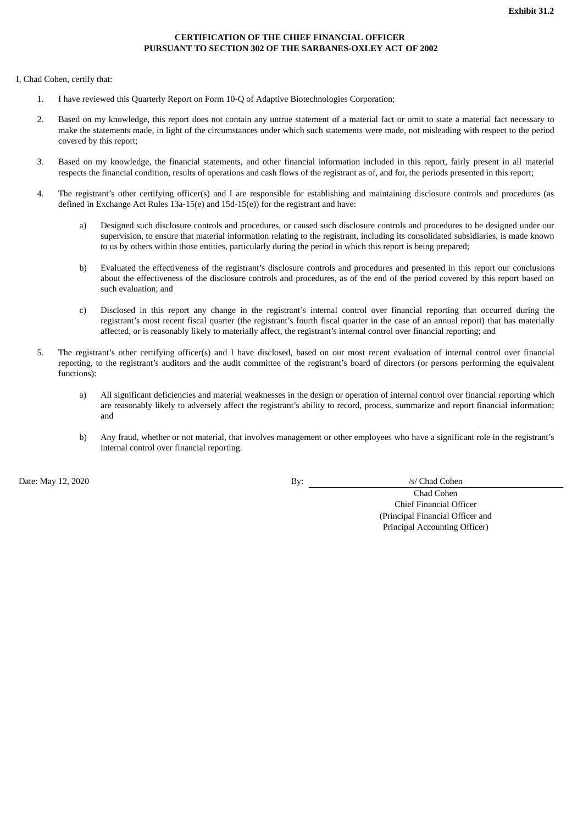# **CERTIFICATION OF THE CHIEF FINANCIAL OFFICER PURSUANT TO SECTION 302 OF THE SARBANES-OXLEY ACT OF 2002**

<span id="page-39-0"></span>I, Chad Cohen, certify that:

- 1. I have reviewed this Quarterly Report on Form 10-Q of Adaptive Biotechnologies Corporation;
- 2. Based on my knowledge, this report does not contain any untrue statement of a material fact or omit to state a material fact necessary to make the statements made, in light of the circumstances under which such statements were made, not misleading with respect to the period covered by this report;
- 3. Based on my knowledge, the financial statements, and other financial information included in this report, fairly present in all material respects the financial condition, results of operations and cash flows of the registrant as of, and for, the periods presented in this report;
- 4. The registrant's other certifying officer(s) and I are responsible for establishing and maintaining disclosure controls and procedures (as defined in Exchange Act Rules 13a-15(e) and 15d-15(e)) for the registrant and have:
	- a) Designed such disclosure controls and procedures, or caused such disclosure controls and procedures to be designed under our supervision, to ensure that material information relating to the registrant, including its consolidated subsidiaries, is made known to us by others within those entities, particularly during the period in which this report is being prepared;
	- b) Evaluated the effectiveness of the registrant's disclosure controls and procedures and presented in this report our conclusions about the effectiveness of the disclosure controls and procedures, as of the end of the period covered by this report based on such evaluation; and
	- c) Disclosed in this report any change in the registrant's internal control over financial reporting that occurred during the registrant's most recent fiscal quarter (the registrant's fourth fiscal quarter in the case of an annual report) that has materially affected, or is reasonably likely to materially affect, the registrant's internal control over financial reporting; and
- 5. The registrant's other certifying officer(s) and I have disclosed, based on our most recent evaluation of internal control over financial reporting, to the registrant's auditors and the audit committee of the registrant's board of directors (or persons performing the equivalent functions):
	- a) All significant deficiencies and material weaknesses in the design or operation of internal control over financial reporting which are reasonably likely to adversely affect the registrant's ability to record, process, summarize and report financial information; and
	- b) Any fraud, whether or not material, that involves management or other employees who have a significant role in the registrant's internal control over financial reporting.

Date: May 12, 2020 *IS/ Chad Cohen* By: /s/ Chad Cohen

Chad Cohen Chief Financial Officer (Principal Financial Officer and Principal Accounting Officer)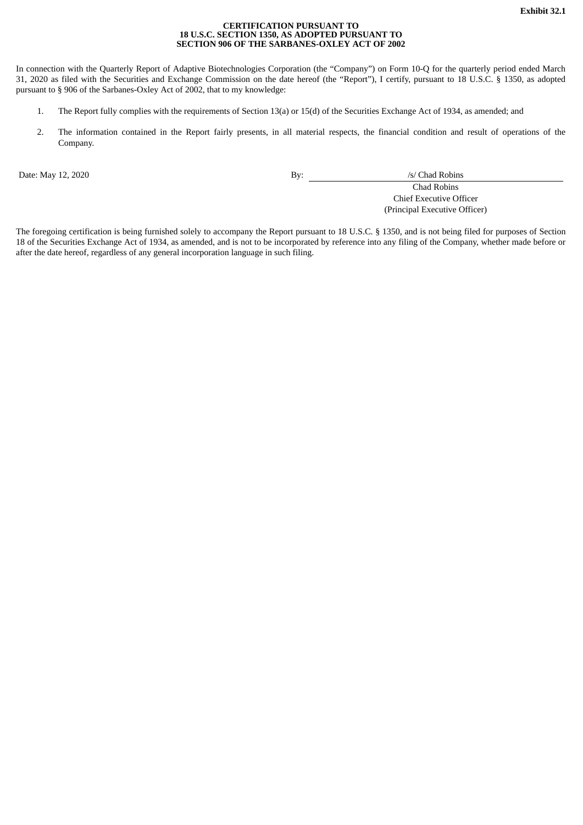#### **CERTIFICATION PURSUANT TO 18 U.S.C. SECTION 1350, AS ADOPTED PURSUANT TO SECTION 906 OF THE SARBANES-OXLEY ACT OF 2002**

<span id="page-40-0"></span>In connection with the Quarterly Report of Adaptive Biotechnologies Corporation (the "Company") on Form 10-Q for the quarterly period ended March 31, 2020 as filed with the Securities and Exchange Commission on the date hereof (the "Report"), I certify, pursuant to 18 U.S.C. § 1350, as adopted pursuant to § 906 of the Sarbanes-Oxley Act of 2002, that to my knowledge:

- 1. The Report fully complies with the requirements of Section 13(a) or 15(d) of the Securities Exchange Act of 1934, as amended; and
- 2. The information contained in the Report fairly presents, in all material respects, the financial condition and result of operations of the Company.

Date: May 12, 2020 By: */s/ Chad Robins* 

Chad Robins Chief Executive Officer (Principal Executive Officer)

The foregoing certification is being furnished solely to accompany the Report pursuant to 18 U.S.C. § 1350, and is not being filed for purposes of Section 18 of the Securities Exchange Act of 1934, as amended, and is not to be incorporated by reference into any filing of the Company, whether made before or after the date hereof, regardless of any general incorporation language in such filing.